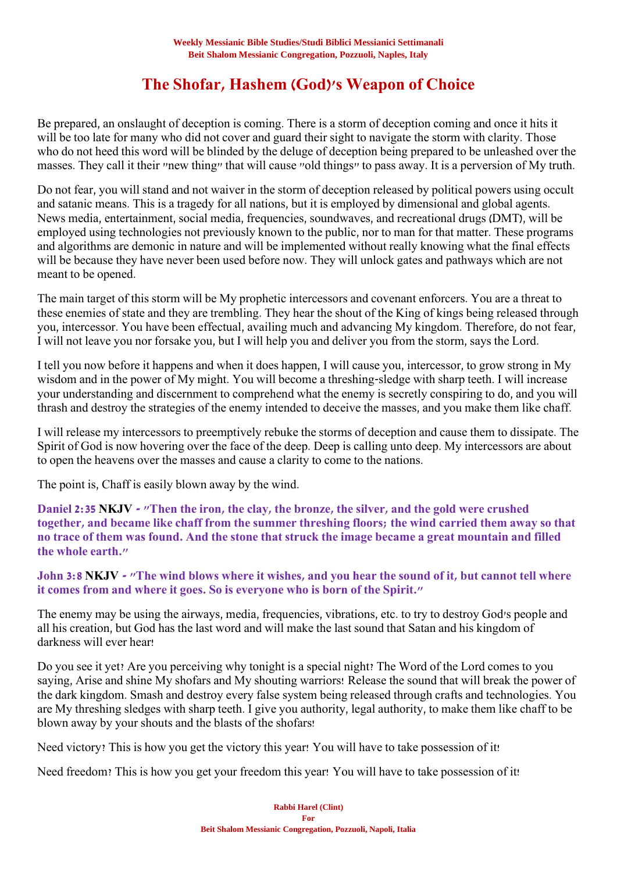# **The Shofar, Hashem (God)'s Weapon of Choice**

Be prepared, an onslaught of deception is coming. There is a storm of deception coming and once it hits it will be too late for many who did not cover and guard their sight to navigate the storm with clarity. Those who do not heed this word will be blinded by the deluge of deception being prepared to be unleashed over the masses. They call it their "new thing" that will cause "old things" to pass away. It is a perversion of My truth.

Do not fear, you will stand and not waiver in the storm of deception released by political powers using occult and satanic means. This is a tragedy for all nations, but it is employed by dimensional and global agents. News media, entertainment, social media, frequencies, soundwaves, and recreational drugs (DMT), will be employed using technologies not previously known to the public, nor to man for that matter. These programs and algorithms are demonic in nature and will be implemented without really knowing what the final effects will be because they have never been used before now. They will unlock gates and pathways which are not meant to be opened.

The main target of this storm will be My prophetic intercessors and covenant enforcers. You are a threat to these enemies of state and they are trembling. They hear the shout of the King of kings being released through you, intercessor. You have been effectual, availing much and advancing My kingdom. Therefore, do not fear, I will not leave you nor forsake you, but I will help you and deliver you from the storm, says the Lord.

I tell you now before it happens and when it does happen, I will cause you, intercessor, to grow strong in My wisdom and in the power of My might. You will become a threshing-sledge with sharp teeth. I will increase your understanding and discernment to comprehend what the enemy is secretly conspiring to do, and you will thrash and destroy the strategies of the enemy intended to deceive the masses, and you make them like chaff.

I will release my intercessors to preemptively rebuke the storms of deception and cause them to dissipate. The Spirit of God is now hovering over the face of the deep. Deep is calling unto deep. My intercessors are about to open the heavens over the masses and cause a clarity to come to the nations.

The point is, Chaff is easily blown away by the wind.

**Daniel 2:35 NKJV - "Then the iron, the clay, the bronze, the silver, and the gold were crushed together, and became like chaff from the summer threshing floors; the wind carried them away so that no trace of them was found. And the stone that struck the image became a great mountain and filled the whole earth."**

## **John 3:8 NKJV - "The wind blows where it wishes, and you hear the sound of it, but cannot tell where it comes from and where it goes. So is everyone who is born of the Spirit."**

The enemy may be using the airways, media, frequencies, vibrations, etc. to try to destroy God's people and all his creation, but God has the last word and will make the last sound that Satan and his kingdom of darkness will ever hear!

Do you see it yet? Are you perceiving why tonight is a special night? The Word of the Lord comes to you saying, Arise and shine My shofars and My shouting warriors! Release the sound that will break the power of the dark kingdom. Smash and destroy every false system being released through crafts and technologies. You are My threshing sledges with sharp teeth. I give you authority, legal authority, to make them like chaff to be blown away by your shouts and the blasts of the shofars!

Need victory? This is how you get the victory this year! You will have to take possession of it!

Need freedom? This is how you get your freedom this year! You will have to take possession of it!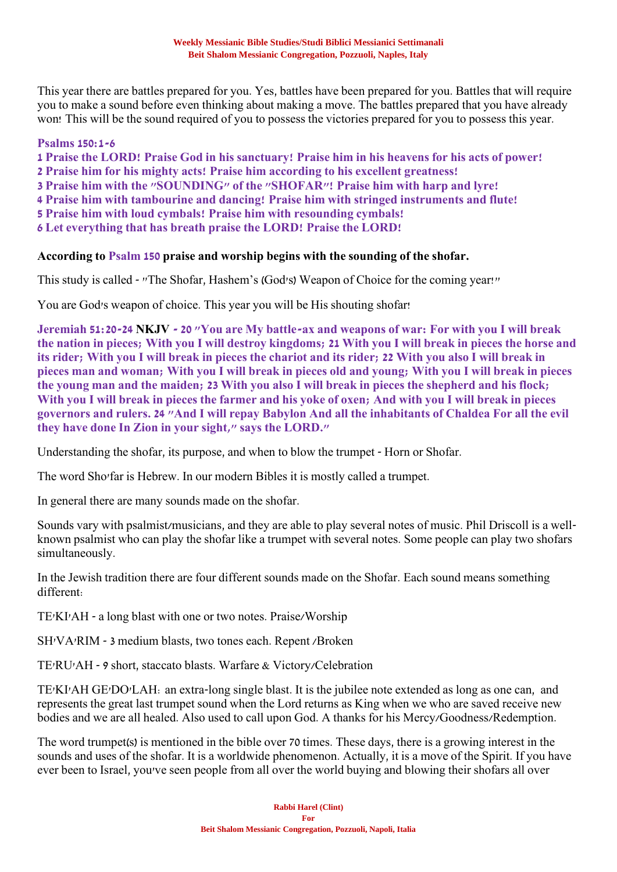This year there are battles prepared for you. Yes, battles have been prepared for you. Battles that will require you to make a sound before even thinking about making a move. The battles prepared that you have already won! This will be the sound required of you to possess the victories prepared for you to possess this year.

## **Psalms 150:1-6**

**1 Praise the LORD! Praise God in his sanctuary! Praise him in his heavens for his acts of power!**

**2 Praise him for his mighty acts! Praise him according to his excellent greatness!**

**3 Praise him with the "SOUNDING" of the "SHOFAR"! Praise him with harp and lyre!**

**4 Praise him with tambourine and dancing! Praise him with stringed instruments and flute!**

**5 Praise him with loud cymbals! Praise him with resounding cymbals!** 

**6 Let everything that has breath praise the LORD! Praise the LORD!**

### **According to Psalm 150 praise and worship begins with the sounding of the shofar.**

This study is called - "The Shofar, Hashem's (God's) Weapon of Choice for the coming year!"

You are God's weapon of choice. This year you will be His shouting shofar!

**Jeremiah 51:20-24 NKJV - 20 "You are My battle-ax and weapons of war: For with you I will break the nation in pieces; With you I will destroy kingdoms; 21 With you I will break in pieces the horse and its rider; With you I will break in pieces the chariot and its rider; 22 With you also I will break in pieces man and woman; With you I will break in pieces old and young; With you I will break in pieces the young man and the maiden; 23 With you also I will break in pieces the shepherd and his flock; With you I will break in pieces the farmer and his yoke of oxen; And with you I will break in pieces governors and rulers. 24 "And I will repay Babylon And all the inhabitants of Chaldea For all the evil they have done In Zion in your sight," says the LORD."**

Understanding the shofar, its purpose, and when to blow the trumpet - Horn or Shofar.

The word Sho'far is Hebrew. In our modern Bibles it is mostly called a trumpet.

In general there are many sounds made on the shofar.

Sounds vary with psalmist/musicians, and they are able to play several notes of music. Phil Driscoll is a wellknown psalmist who can play the shofar like a trumpet with several notes. Some people can play two shofars simultaneously.

In the Jewish tradition there are four different sounds made on the Shofar. Each sound means something different:

TE'KI'AH - a long blast with one or two notes. Praise/Worship

SH'VA'RIM - 3 medium blasts, two tones each. Repent /Broken

TE'RU'AH - 9 short, staccato blasts. Warfare & Victory/Celebration

TE'KI'AH GE'DO'LAH: an extra-long single blast. It is the jubilee note extended as long as one can, and represents the great last trumpet sound when the Lord returns as King when we who are saved receive new bodies and we are all healed. Also used to call upon God. A thanks for his Mercy/Goodness/Redemption.

The word trumpet(s) is mentioned in the bible over 70 times. These days, there is a growing interest in the sounds and uses of the shofar. It is a worldwide phenomenon. Actually, it is a move of the Spirit. If you have ever been to Israel, you've seen people from all over the world buying and blowing their shofars all over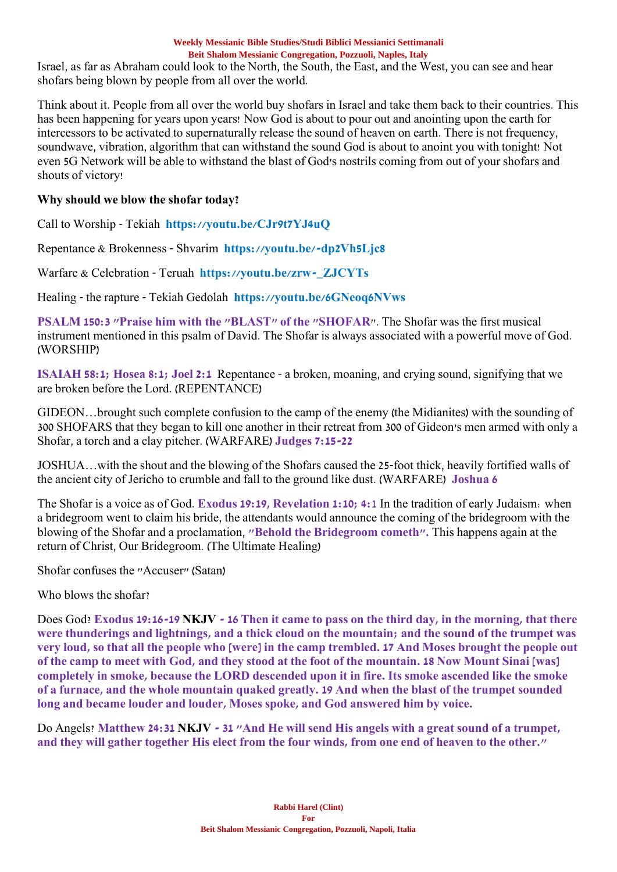Israel, as far as Abraham could look to the North, the South, the East, and the West, you can see and hear shofars being blown by people from all over the world.

Think about it. People from all over the world buy shofars in Israel and take them back to their countries. This has been happening for years upon years! Now God is about to pour out and anointing upon the earth for intercessors to be activated to supernaturally release the sound of heaven on earth. There is not frequency, soundwave, vibration, algorithm that can withstand the sound God is about to anoint you with tonight! Not even 5G Network will be able to withstand the blast of God's nostrils coming from out of your shofars and shouts of victory!

## **Why should we blow the shofar today?**

Call to Worship - Tekiah **https://youtu.be/CJr9t7YJ4uQ**

Repentance & Brokenness - Shvarim **https://youtu.be/-dp2Vh5Ljc8**

Warfare & Celebration - Teruah **https://youtu.be/zrw-\_ZJCYTs**

Healing - the rapture - Tekiah Gedolah **https://youtu.be/6GNeoq6NVws**

**PSALM 150:3 "Praise him with the "BLAST" of the "SHOFAR**". The Shofar was the first musical instrument mentioned in this psalm of David. The Shofar is always associated with a powerful move of God. (WORSHIP)

**ISAIAH 58:1; Hosea 8:1; Joel 2:1** Repentance - a broken, moaning, and crying sound, signifying that we are broken before the Lord. (REPENTANCE)

GIDEON…brought such complete confusion to the camp of the enemy (the Midianites) with the sounding of 300 SHOFARS that they began to kill one another in their retreat from 300 of Gideon's men armed with only a Shofar, a torch and a clay pitcher. (WARFARE) **Judges 7:15-22**

JOSHUA…with the shout and the blowing of the Shofars caused the 25-foot thick, heavily fortified walls of the ancient city of Jericho to crumble and fall to the ground like dust. (WARFARE) **Joshua 6**

The Shofar is a voice as of God. **Exodus 19:19, Revelation 1:10; 4:**1 In the tradition of early Judaism: when a bridegroom went to claim his bride, the attendants would announce the coming of the bridegroom with the blowing of the Shofar and a proclamation, **"Behold the Bridegroom cometh".** This happens again at the return of Christ, Our Bridegroom. (The Ultimate Healing)

Shofar confuses the "Accuser" (Satan)

Who blows the shofar?

Does God? **Exodus 19:16-19 NKJV - 16 Then it came to pass on the third day, in the morning, that there were thunderings and lightnings, and a thick cloud on the mountain; and the sound of the trumpet was very loud, so that all the people who [were] in the camp trembled. 17 And Moses brought the people out of the camp to meet with God, and they stood at the foot of the mountain. 18 Now Mount Sinai [was] completely in smoke, because the LORD descended upon it in fire. Its smoke ascended like the smoke of a furnace, and the whole mountain quaked greatly. 19 And when the blast of the trumpet sounded long and became louder and louder, Moses spoke, and God answered him by voice.**

Do Angels? **Matthew 24:31 NKJV - 31 "And He will send His angels with a great sound of a trumpet, and they will gather together His elect from the four winds, from one end of heaven to the other."**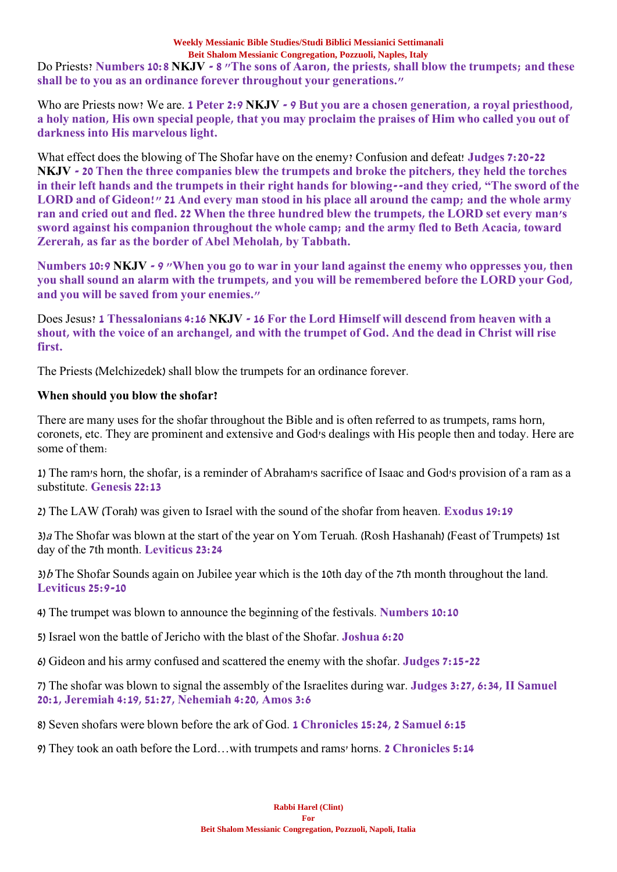Do Priests? **Numbers 10:8 NKJV - 8 "The sons of Aaron, the priests, shall blow the trumpets; and these shall be to you as an ordinance forever throughout your generations."**

Who are Priests now? We are. **1 Peter 2:9 NKJV - 9 But you are a chosen generation, a royal priesthood, a holy nation, His own special people, that you may proclaim the praises of Him who called you out of darkness into His marvelous light.**

What effect does the blowing of The Shofar have on the enemy? Confusion and defeat! **Judges 7:20-22 NKJV - 20 Then the three companies blew the trumpets and broke the pitchers, they held the torches in their left hands and the trumpets in their right hands for blowing--and they cried, "The sword of the LORD and of Gideon!" 21 And every man stood in his place all around the camp; and the whole army ran and cried out and fled. 22 When the three hundred blew the trumpets, the LORD set every man's sword against his companion throughout the whole camp; and the army fled to Beth Acacia, toward Zererah, as far as the border of Abel Meholah, by Tabbath.**

**Numbers 10:9 NKJV - 9 "When you go to war in your land against the enemy who oppresses you, then you shall sound an alarm with the trumpets, and you will be remembered before the LORD your God, and you will be saved from your enemies."**

Does Jesus? **1 Thessalonians 4:16 NKJV - 16 For the Lord Himself will descend from heaven with a shout, with the voice of an archangel, and with the trumpet of God. And the dead in Christ will rise first.**

The Priests (Melchizedek) shall blow the trumpets for an ordinance forever.

## **When should you blow the shofar?**

There are many uses for the shofar throughout the Bible and is often referred to as trumpets, rams horn, coronets, etc. They are prominent and extensive and God's dealings with His people then and today. Here are some of them:

1) The ram's horn, the shofar, is a reminder of Abraham's sacrifice of Isaac and God's provision of a ram as a substitute. **Genesis 22:13**

2) The LAW (Torah) was given to Israel with the sound of the shofar from heaven. **Exodus 19:19**

3)<sup>a</sup> The Shofar was blown at the start of the year on Yom Teruah. (Rosh Hashanah) (Feast of Trumpets) 1st day of the 7th month. **Leviticus 23:24**

 $3/b$  The Shofar Sounds again on Jubilee year which is the 10th day of the 7th month throughout the land. **Leviticus 25:9-10**

4) The trumpet was blown to announce the beginning of the festivals. **Numbers 10:10**

5) Israel won the battle of Jericho with the blast of the Shofar. **Joshua 6:20**

6) Gideon and his army confused and scattered the enemy with the shofar. **Judges 7:15-22**

7) The shofar was blown to signal the assembly of the Israelites during war. **Judges 3:27, 6:34, II Samuel 20:1, Jeremiah 4:19, 51:27, Nehemiah 4:20, Amos 3:6**

8) Seven shofars were blown before the ark of God. **1 Chronicles 15:24, 2 Samuel 6:15**

9) They took an oath before the Lord…with trumpets and rams' horns. **2 Chronicles 5:14**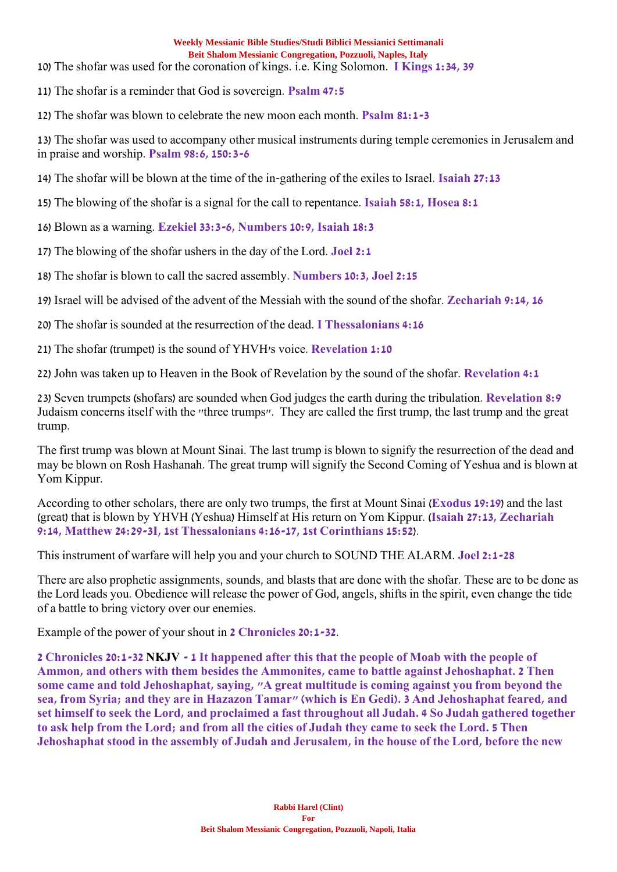- 10) The shofar was used for the coronation of kings. i.e. King Solomon. **I Kings 1:34, 39**
- 11) The shofar is a reminder that God is sovereign. **Psalm 47:5**
- 12) The shofar was blown to celebrate the new moon each month. **Psalm 81:1-3**

13) The shofar was used to accompany other musical instruments during temple ceremonies in Jerusalem and in praise and worship. **Psalm 98:6, 150:3-6**

- 14) The shofar will be blown at the time of the in-gathering of the exiles to Israel. **Isaiah 27:13**
- 15) The blowing of the shofar is a signal for the call to repentance. **Isaiah 58:1, Hosea 8:1**

16) Blown as a warning. **Ezekiel 33:3-6, Numbers 10:9, Isaiah 18:3**

- 17) The blowing of the shofar ushers in the day of the Lord. **Joel 2:1**
- 18) The shofar is blown to call the sacred assembly. **Numbers 10:3, Joel 2:15**
- 19) Israel will be advised of the advent of the Messiah with the sound of the shofar. **Zechariah 9:14, 16**
- 20) The shofar is sounded at the resurrection of the dead. **I Thessalonians 4:16**
- 21) The shofar (trumpet) is the sound of YHVH's voice. **Revelation 1:10**
- 22) John was taken up to Heaven in the Book of Revelation by the sound of the shofar. **Revelation 4:1**

23) Seven trumpets (shofars) are sounded when God judges the earth during the tribulation. **Revelation 8:9** Judaism concerns itself with the "three trumps". They are called the first trump, the last trump and the great trump.

The first trump was blown at Mount Sinai. The last trump is blown to signify the resurrection of the dead and may be blown on Rosh Hashanah. The great trump will signify the Second Coming of Yeshua and is blown at Yom Kippur.

According to other scholars, there are only two trumps, the first at Mount Sinai (**Exodus 19:19**) and the last (great) that is blown by YHVH (Yeshua) Himself at His return on Yom Kippur. (**Isaiah 27:13, Zechariah 9:14, Matthew 24:29-3I, 1st Thessalonians 4:16-17, 1st Corinthians 15:52**).

This instrument of warfare will help you and your church to SOUND THE ALARM. **Joel 2:1-28**

There are also prophetic assignments, sounds, and blasts that are done with the shofar. These are to be done as the Lord leads you. Obedience will release the power of God, angels, shifts in the spirit, even change the tide of a battle to bring victory over our enemies.

Example of the power of your shout in **2 Chronicles 20:1-32**.

**2 Chronicles 20:1-32 NKJV - 1 It happened after this that the people of Moab with the people of Ammon, and others with them besides the Ammonites, came to battle against Jehoshaphat. 2 Then some came and told Jehoshaphat, saying, "A great multitude is coming against you from beyond the sea, from Syria; and they are in Hazazon Tamar" (which is En Gedi). 3 And Jehoshaphat feared, and set himself to seek the Lord, and proclaimed a fast throughout all Judah. 4 So Judah gathered together to ask help from the Lord; and from all the cities of Judah they came to seek the Lord. 5 Then Jehoshaphat stood in the assembly of Judah and Jerusalem, in the house of the Lord, before the new**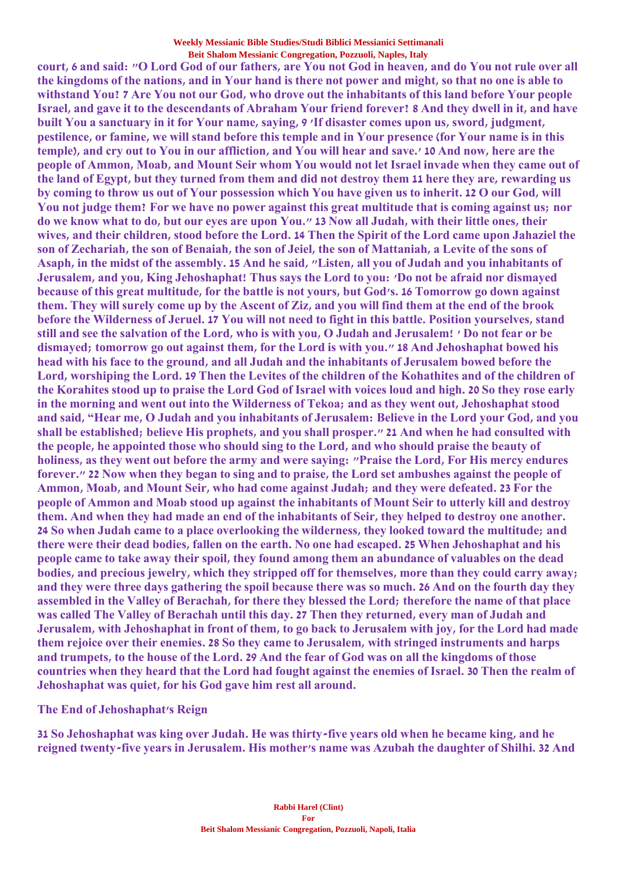**court, 6 and said: "O Lord God of our fathers, are You not God in heaven, and do You not rule over all the kingdoms of the nations, and in Your hand is there not power and might, so that no one is able to withstand You? 7 Are You not our God, who drove out the inhabitants of this land before Your people Israel, and gave it to the descendants of Abraham Your friend forever? 8 And they dwell in it, and have built You a sanctuary in it for Your name, saying, 9 'If disaster comes upon us, sword, judgment, pestilence, or famine, we will stand before this temple and in Your presence (for Your name is in this temple), and cry out to You in our affliction, and You will hear and save.' 10 And now, here are the people of Ammon, Moab, and Mount Seir whom You would not let Israel invade when they came out of the land of Egypt, but they turned from them and did not destroy them 11 here they are, rewarding us by coming to throw us out of Your possession which You have given us to inherit. 12 O our God, will You not judge them? For we have no power against this great multitude that is coming against us; nor do we know what to do, but our eyes are upon You." 13 Now all Judah, with their little ones, their wives, and their children, stood before the Lord. 14 Then the Spirit of the Lord came upon Jahaziel the son of Zechariah, the son of Benaiah, the son of Jeiel, the son of Mattaniah, a Levite of the sons of Asaph, in the midst of the assembly. 15 And he said, "Listen, all you of Judah and you inhabitants of Jerusalem, and you, King Jehoshaphat! Thus says the Lord to you: 'Do not be afraid nor dismayed because of this great multitude, for the battle is not yours, but God's. 16 Tomorrow go down against them. They will surely come up by the Ascent of Ziz, and you will find them at the end of the brook before the Wilderness of Jeruel. 17 You will not need to fight in this battle. Position yourselves, stand still and see the salvation of the Lord, who is with you, O Judah and Jerusalem! ' Do not fear or be dismayed; tomorrow go out against them, for the Lord is with you." 18 And Jehoshaphat bowed his head with his face to the ground, and all Judah and the inhabitants of Jerusalem bowed before the Lord, worshiping the Lord. 19 Then the Levites of the children of the Kohathites and of the children of the Korahites stood up to praise the Lord God of Israel with voices loud and high. 20 So they rose early in the morning and went out into the Wilderness of Tekoa; and as they went out, Jehoshaphat stood and said, "Hear me, O Judah and you inhabitants of Jerusalem: Believe in the Lord your God, and you shall be established; believe His prophets, and you shall prosper." 21 And when he had consulted with the people, he appointed those who should sing to the Lord, and who should praise the beauty of holiness, as they went out before the army and were saying: "Praise the Lord, For His mercy endures forever." 22 Now when they began to sing and to praise, the Lord set ambushes against the people of Ammon, Moab, and Mount Seir, who had come against Judah; and they were defeated. 23 For the people of Ammon and Moab stood up against the inhabitants of Mount Seir to utterly kill and destroy them. And when they had made an end of the inhabitants of Seir, they helped to destroy one another. 24 So when Judah came to a place overlooking the wilderness, they looked toward the multitude; and there were their dead bodies, fallen on the earth. No one had escaped. 25 When Jehoshaphat and his people came to take away their spoil, they found among them an abundance of valuables on the dead bodies, and precious jewelry, which they stripped off for themselves, more than they could carry away; and they were three days gathering the spoil because there was so much. 26 And on the fourth day they assembled in the Valley of Berachah, for there they blessed the Lord; therefore the name of that place was called The Valley of Berachah until this day. 27 Then they returned, every man of Judah and Jerusalem, with Jehoshaphat in front of them, to go back to Jerusalem with joy, for the Lord had made them rejoice over their enemies. 28 So they came to Jerusalem, with stringed instruments and harps and trumpets, to the house of the Lord. 29 And the fear of God was on all the kingdoms of those countries when they heard that the Lord had fought against the enemies of Israel. 30 Then the realm of Jehoshaphat was quiet, for his God gave him rest all around.**

### **The End of Jehoshaphat's Reign**

**31 So Jehoshaphat was king over Judah. He was thirty-five years old when he became king, and he reigned twenty-five years in Jerusalem. His mother's name was Azubah the daughter of Shilhi. 32 And**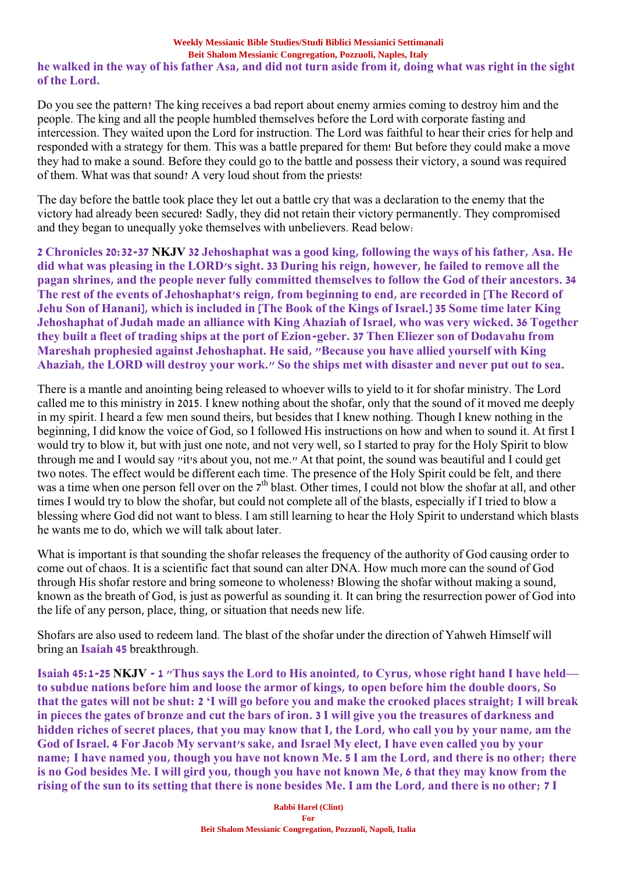## **he walked in the way of his father Asa, and did not turn aside from it, doing what was right in the sight of the Lord.**

Do you see the pattern? The king receives a bad report about enemy armies coming to destroy him and the people. The king and all the people humbled themselves before the Lord with corporate fasting and intercession. They waited upon the Lord for instruction. The Lord was faithful to hear their cries for help and responded with a strategy for them. This was a battle prepared for them! But before they could make a move they had to make a sound. Before they could go to the battle and possess their victory, a sound was required of them. What was that sound? A very loud shout from the priests!

The day before the battle took place they let out a battle cry that was a declaration to the enemy that the victory had already been secured! Sadly, they did not retain their victory permanently. They compromised and they began to unequally yoke themselves with unbelievers. Read below:

**2 Chronicles 20:32-37 NKJV 32 Jehoshaphat was a good king, following the ways of his father, Asa. He did what was pleasing in the LORD's sight. 33 During his reign, however, he failed to remove all the pagan shrines, and the people never fully committed themselves to follow the God of their ancestors. 34 The rest of the events of Jehoshaphat's reign, from beginning to end, are recorded in [The Record of Jehu Son of Hanani], which is included in [The Book of the Kings of Israel.] 35 Some time later King Jehoshaphat of Judah made an alliance with King Ahaziah of Israel, who was very wicked. 36 Together they built a fleet of trading ships at the port of Ezion-geber. 37 Then Eliezer son of Dodavahu from Mareshah prophesied against Jehoshaphat. He said, "Because you have allied yourself with King Ahaziah, the LORD will destroy your work." So the ships met with disaster and never put out to sea.**

There is a mantle and anointing being released to whoever wills to yield to it for shofar ministry. The Lord called me to this ministry in 2015. I knew nothing about the shofar, only that the sound of it moved me deeply in my spirit. I heard a few men sound theirs, but besides that I knew nothing. Though I knew nothing in the beginning, I did know the voice of God, so I followed His instructions on how and when to sound it. At first I would try to blow it, but with just one note, and not very well, so I started to pray for the Holy Spirit to blow through me and I would say "it's about you, not me." At that point, the sound was beautiful and I could get two notes. The effect would be different each time. The presence of the Holy Spirit could be felt, and there was a time when one person fell over on the 7<sup>th</sup> blast. Other times, I could not blow the shofar at all, and other times I would try to blow the shofar, but could not complete all of the blasts, especially if I tried to blow a blessing where God did not want to bless. I am still learning to hear the Holy Spirit to understand which blasts he wants me to do, which we will talk about later.

What is important is that sounding the shofar releases the frequency of the authority of God causing order to come out of chaos. It is a scientific fact that sound can alter DNA. How much more can the sound of God through His shofar restore and bring someone to wholeness? Blowing the shofar without making a sound, known as the breath of God, is just as powerful as sounding it. It can bring the resurrection power of God into the life of any person, place, thing, or situation that needs new life.

Shofars are also used to redeem land. The blast of the shofar under the direction of Yahweh Himself will bring an **Isaiah 45** breakthrough.

**Isaiah 45:1-25 NKJV - 1 "Thus says the Lord to His anointed, to Cyrus, whose right hand I have held to subdue nations before him and loose the armor of kings, to open before him the double doors, So that the gates will not be shut: 2 'I will go before you and make the crooked places straight; I will break in pieces the gates of bronze and cut the bars of iron. 3 I will give you the treasures of darkness and hidden riches of secret places, that you may know that I, the Lord, who call you by your name, am the God of Israel. 4 For Jacob My servant's sake, and Israel My elect, I have even called you by your name; I have named you, though you have not known Me. 5 I am the Lord, and there is no other; there is no God besides Me. I will gird you, though you have not known Me, 6 that they may know from the rising of the sun to its setting that there is none besides Me. I am the Lord, and there is no other; 7 I**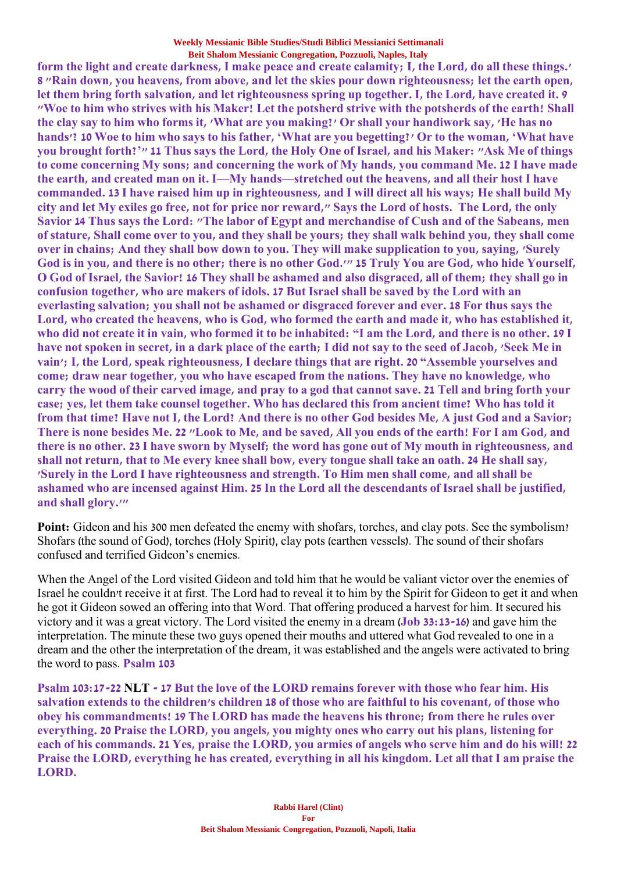**form the light and create darkness, I make peace and create calamity; I, the Lord, do all these things.' 8 "Rain down, you heavens, from above, and let the skies pour down righteousness; let the earth open, let them bring forth salvation, and let righteousness spring up together. I, the Lord, have created it. 9 "Woe to him who strives with his Maker! Let the potsherd strive with the potsherds of the earth! Shall the clay say to him who forms it, 'What are you making?' Or shall your handiwork say, 'He has no hands'? 10 Woe to him who says to his father, 'What are you begetting?' Or to the woman, 'What have you brought forth?'" 11 Thus says the Lord, the Holy One of Israel, and his Maker: "Ask Me of things to come concerning My sons; and concerning the work of My hands, you command Me. 12 I have made the earth, and created man on it. I—My hands—stretched out the heavens, and all their host I have commanded. 13 I have raised him up in righteousness, and I will direct all his ways; He shall build My city and let My exiles go free, not for price nor reward," Says the Lord of hosts. The Lord, the only Savior 14 Thus says the Lord: "The labor of Egypt and merchandise of Cush and of the Sabeans, men of stature, Shall come over to you, and they shall be yours; they shall walk behind you, they shall come over in chains; And they shall bow down to you. They will make supplication to you, saying, 'Surely God is in you, and there is no other; there is no other God.'" 15 Truly You are God, who hide Yourself, O God of Israel, the Savior! 16 They shall be ashamed and also disgraced, all of them; they shall go in confusion together, who are makers of idols. 17 But Israel shall be saved by the Lord with an everlasting salvation; you shall not be ashamed or disgraced forever and ever. 18 For thus says the Lord, who created the heavens, who is God, who formed the earth and made it, who has established it, who did not create it in vain, who formed it to be inhabited: "I am the Lord, and there is no other. 19 I have not spoken in secret, in a dark place of the earth; I did not say to the seed of Jacob, 'Seek Me in vain'; I, the Lord, speak righteousness, I declare things that are right. 20 "Assemble yourselves and come; draw near together, you who have escaped from the nations. They have no knowledge, who carry the wood of their carved image, and pray to a god that cannot save. 21 Tell and bring forth your case; yes, let them take counsel together. Who has declared this from ancient time? Who has told it from that time? Have not I, the Lord? And there is no other God besides Me, A just God and a Savior; There is none besides Me. 22 "Look to Me, and be saved, All you ends of the earth! For I am God, and there is no other. 23 I have sworn by Myself; the word has gone out of My mouth in righteousness, and shall not return, that to Me every knee shall bow, every tongue shall take an oath. 24 He shall say, 'Surely in the Lord I have righteousness and strength. To Him men shall come, and all shall be ashamed who are incensed against Him. 25 In the Lord all the descendants of Israel shall be justified, and shall glory.'"**

**Point:** Gideon and his 300 men defeated the enemy with shofars, torches, and clay pots. See the symbolism? Shofars (the sound of God), torches (Holy Spirit), clay pots (earthen vessels). The sound of their shofars confused and terrified Gideon's enemies.

When the Angel of the Lord visited Gideon and told him that he would be valiant victor over the enemies of Israel he couldn't receive it at first. The Lord had to reveal it to him by the Spirit for Gideon to get it and when he got it Gideon sowed an offering into that Word. That offering produced a harvest for him. It secured his victory and it was a great victory. The Lord visited the enemy in a dream (**Job 33:13-16**) and gave him the interpretation. The minute these two guys opened their mouths and uttered what God revealed to one in a dream and the other the interpretation of the dream, it was established and the angels were activated to bring the word to pass. **Psalm 103**

**Psalm 103:17-22 NLT - 17 But the love of the LORD remains forever with those who fear him. His salvation extends to the children's children 18 of those who are faithful to his covenant, of those who obey his commandments! 19 The LORD has made the heavens his throne; from there he rules over everything. 20 Praise the LORD, you angels, you mighty ones who carry out his plans, listening for each of his commands. 21 Yes, praise the LORD, you armies of angels who serve him and do his will! 22 Praise the LORD, everything he has created, everything in all his kingdom. Let all that I am praise the LORD.**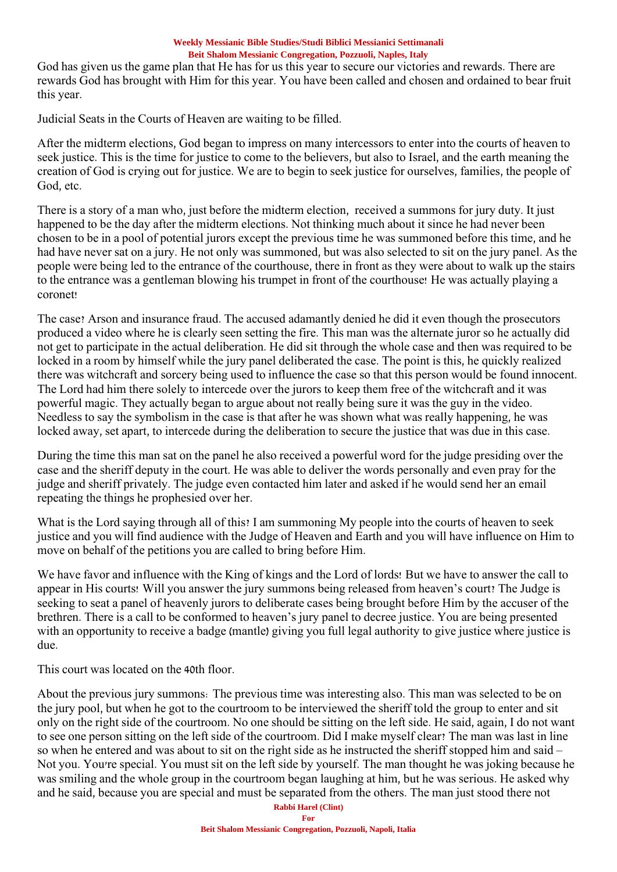God has given us the game plan that He has for us this year to secure our victories and rewards. There are rewards God has brought with Him for this year. You have been called and chosen and ordained to bear fruit this year.

Judicial Seats in the Courts of Heaven are waiting to be filled.

After the midterm elections, God began to impress on many intercessors to enter into the courts of heaven to seek justice. This is the time for justice to come to the believers, but also to Israel, and the earth meaning the creation of God is crying out for justice. We are to begin to seek justice for ourselves, families, the people of God, etc.

There is a story of a man who, just before the midterm election, received a summons for jury duty. It just happened to be the day after the midterm elections. Not thinking much about it since he had never been chosen to be in a pool of potential jurors except the previous time he was summoned before this time, and he had have never sat on a jury. He not only was summoned, but was also selected to sit on the jury panel. As the people were being led to the entrance of the courthouse, there in front as they were about to walk up the stairs to the entrance was a gentleman blowing his trumpet in front of the courthouse! He was actually playing a coronet!

The case? Arson and insurance fraud. The accused adamantly denied he did it even though the prosecutors produced a video where he is clearly seen setting the fire. This man was the alternate juror so he actually did not get to participate in the actual deliberation. He did sit through the whole case and then was required to be locked in a room by himself while the jury panel deliberated the case. The point is this, he quickly realized there was witchcraft and sorcery being used to influence the case so that this person would be found innocent. The Lord had him there solely to intercede over the jurors to keep them free of the witchcraft and it was powerful magic. They actually began to argue about not really being sure it was the guy in the video. Needless to say the symbolism in the case is that after he was shown what was really happening, he was locked away, set apart, to intercede during the deliberation to secure the justice that was due in this case.

During the time this man sat on the panel he also received a powerful word for the judge presiding over the case and the sheriff deputy in the court. He was able to deliver the words personally and even pray for the judge and sheriff privately. The judge even contacted him later and asked if he would send her an email repeating the things he prophesied over her.

What is the Lord saying through all of this? I am summoning My people into the courts of heaven to seek justice and you will find audience with the Judge of Heaven and Earth and you will have influence on Him to move on behalf of the petitions you are called to bring before Him.

We have favor and influence with the King of kings and the Lord of lords! But we have to answer the call to appear in His courts! Will you answer the jury summons being released from heaven's court? The Judge is seeking to seat a panel of heavenly jurors to deliberate cases being brought before Him by the accuser of the brethren. There is a call to be conformed to heaven's jury panel to decree justice. You are being presented with an opportunity to receive a badge (mantle) giving you full legal authority to give justice where justice is due.

This court was located on the 40th floor.

About the previous jury summons: The previous time was interesting also. This man was selected to be on the jury pool, but when he got to the courtroom to be interviewed the sheriff told the group to enter and sit only on the right side of the courtroom. No one should be sitting on the left side. He said, again, I do not want to see one person sitting on the left side of the courtroom. Did I make myself clear? The man was last in line so when he entered and was about to sit on the right side as he instructed the sheriff stopped him and said – Not you. You're special. You must sit on the left side by yourself. The man thought he was joking because he was smiling and the whole group in the courtroom began laughing at him, but he was serious. He asked why and he said, because you are special and must be separated from the others. The man just stood there not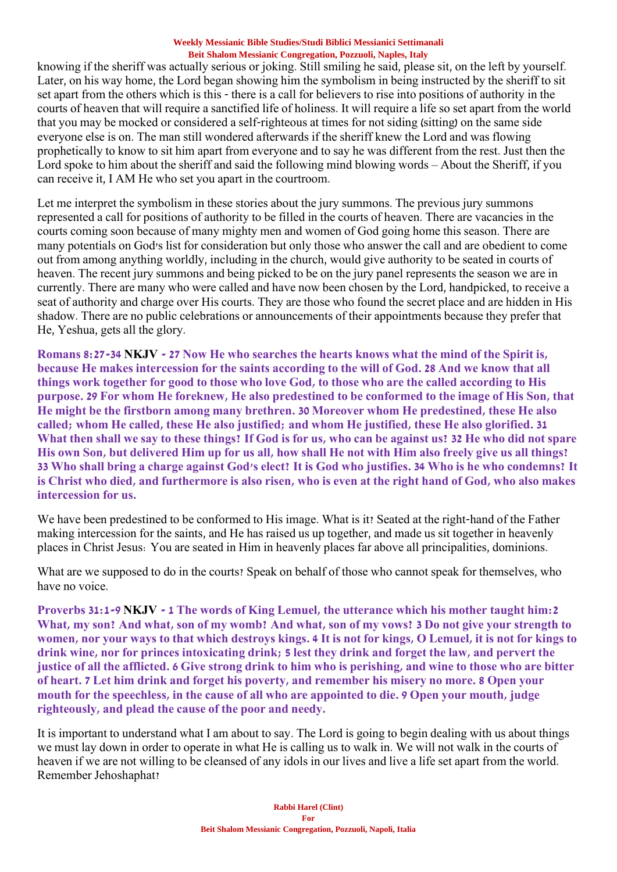knowing if the sheriff was actually serious or joking. Still smiling he said, please sit, on the left by yourself. Later, on his way home, the Lord began showing him the symbolism in being instructed by the sheriff to sit set apart from the others which is this - there is a call for believers to rise into positions of authority in the courts of heaven that will require a sanctified life of holiness. It will require a life so set apart from the world that you may be mocked or considered a self-righteous at times for not siding (sitting) on the same side everyone else is on. The man still wondered afterwards if the sheriff knew the Lord and was flowing prophetically to know to sit him apart from everyone and to say he was different from the rest. Just then the Lord spoke to him about the sheriff and said the following mind blowing words – About the Sheriff, if you can receive it, I AM He who set you apart in the courtroom.

Let me interpret the symbolism in these stories about the jury summons. The previous jury summons represented a call for positions of authority to be filled in the courts of heaven. There are vacancies in the courts coming soon because of many mighty men and women of God going home this season. There are many potentials on God's list for consideration but only those who answer the call and are obedient to come out from among anything worldly, including in the church, would give authority to be seated in courts of heaven. The recent jury summons and being picked to be on the jury panel represents the season we are in currently. There are many who were called and have now been chosen by the Lord, handpicked, to receive a seat of authority and charge over His courts. They are those who found the secret place and are hidden in His shadow. There are no public celebrations or announcements of their appointments because they prefer that He, Yeshua, gets all the glory.

**Romans 8:27-34 NKJV - 27 Now He who searches the hearts knows what the mind of the Spirit is, because He makes intercession for the saints according to the will of God. 28 And we know that all things work together for good to those who love God, to those who are the called according to His purpose. 29 For whom He foreknew, He also predestined to be conformed to the image of His Son, that He might be the firstborn among many brethren. 30 Moreover whom He predestined, these He also called; whom He called, these He also justified; and whom He justified, these He also glorified. 31 What then shall we say to these things? If God is for us, who can be against us? 32 He who did not spare His own Son, but delivered Him up for us all, how shall He not with Him also freely give us all things? 33 Who shall bring a charge against God's elect? It is God who justifies. 34 Who is he who condemns? It is Christ who died, and furthermore is also risen, who is even at the right hand of God, who also makes intercession for us.**

We have been predestined to be conformed to His image. What is it? Seated at the right-hand of the Father making intercession for the saints, and He has raised us up together, and made us sit together in heavenly places in Christ Jesus: You are seated in Him in heavenly places far above all principalities, dominions.

What are we supposed to do in the courts? Speak on behalf of those who cannot speak for themselves, who have no voice.

**Proverbs 31:1-9 NKJV - 1 The words of King Lemuel, the utterance which his mother taught him:2 What, my son? And what, son of my womb? And what, son of my vows? 3 Do not give your strength to women, nor your ways to that which destroys kings. 4 It is not for kings, O Lemuel, it is not for kings to drink wine, nor for princes intoxicating drink; 5 lest they drink and forget the law, and pervert the justice of all the afflicted. 6 Give strong drink to him who is perishing, and wine to those who are bitter of heart. 7 Let him drink and forget his poverty, and remember his misery no more. 8 Open your mouth for the speechless, in the cause of all who are appointed to die. 9 Open your mouth, judge righteously, and plead the cause of the poor and needy.**

It is important to understand what I am about to say. The Lord is going to begin dealing with us about things we must lay down in order to operate in what He is calling us to walk in. We will not walk in the courts of heaven if we are not willing to be cleansed of any idols in our lives and live a life set apart from the world. Remember Jehoshaphat?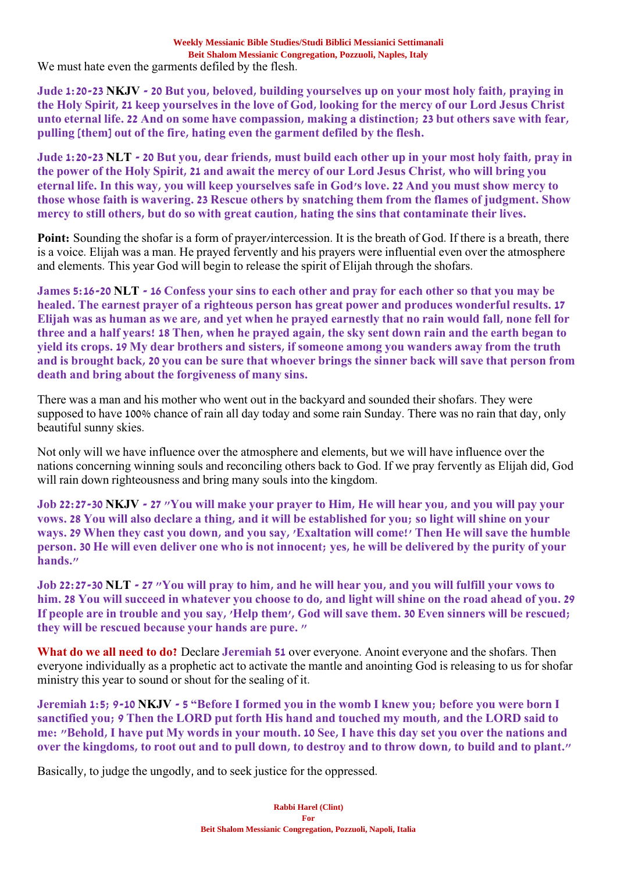**Jude 1:20-23 NKJV - 20 But you, beloved, building yourselves up on your most holy faith, praying in the Holy Spirit, 21 keep yourselves in the love of God, looking for the mercy of our Lord Jesus Christ unto eternal life. 22 And on some have compassion, making a distinction; 23 but others save with fear, pulling [them] out of the fire, hating even the garment defiled by the flesh.**

**Jude 1:20-23 NLT - 20 But you, dear friends, must build each other up in your most holy faith, pray in the power of the Holy Spirit, 21 and await the mercy of our Lord Jesus Christ, who will bring you eternal life. In this way, you will keep yourselves safe in God's love. 22 And you must show mercy to those whose faith is wavering. 23 Rescue others by snatching them from the flames of judgment. Show mercy to still others, but do so with great caution, hating the sins that contaminate their lives.**

**Point:** Sounding the shofar is a form of prayer/intercession. It is the breath of God. If there is a breath, there is a voice. Elijah was a man. He prayed fervently and his prayers were influential even over the atmosphere and elements. This year God will begin to release the spirit of Elijah through the shofars.

**James 5:16-20 NLT - 16 Confess your sins to each other and pray for each other so that you may be healed. The earnest prayer of a righteous person has great power and produces wonderful results. 17 Elijah was as human as we are, and yet when he prayed earnestly that no rain would fall, none fell for three and a half years! 18 Then, when he prayed again, the sky sent down rain and the earth began to yield its crops. 19 My dear brothers and sisters, if someone among you wanders away from the truth and is brought back, 20 you can be sure that whoever brings the sinner back will save that person from death and bring about the forgiveness of many sins.**

There was a man and his mother who went out in the backyard and sounded their shofars. They were supposed to have 100% chance of rain all day today and some rain Sunday. There was no rain that day, only beautiful sunny skies.

Not only will we have influence over the atmosphere and elements, but we will have influence over the nations concerning winning souls and reconciling others back to God. If we pray fervently as Elijah did, God will rain down righteousness and bring many souls into the kingdom.

**Job 22:27-30 NKJV - 27 "You will make your prayer to Him, He will hear you, and you will pay your vows. 28 You will also declare a thing, and it will be established for you; so light will shine on your ways. 29 When they cast you down, and you say, 'Exaltation will come!' Then He will save the humble person. 30 He will even deliver one who is not innocent; yes, he will be delivered by the purity of your hands."**

**Job 22:27-30 NLT - 27 "You will pray to him, and he will hear you, and you will fulfill your vows to him. 28 You will succeed in whatever you choose to do, and light will shine on the road ahead of you. 29 If people are in trouble and you say, 'Help them', God will save them. 30 Even sinners will be rescued; they will be rescued because your hands are pure. "**

**What do we all need to do?** Declare **Jeremiah 51** over everyone. Anoint everyone and the shofars. Then everyone individually as a prophetic act to activate the mantle and anointing God is releasing to us for shofar ministry this year to sound or shout for the sealing of it.

**Jeremiah 1:5; 9-10 NKJV - 5 "Before I formed you in the womb I knew you; before you were born I sanctified you; 9 Then the LORD put forth His hand and touched my mouth, and the LORD said to me: "Behold, I have put My words in your mouth. 10 See, I have this day set you over the nations and over the kingdoms, to root out and to pull down, to destroy and to throw down, to build and to plant."**

Basically, to judge the ungodly, and to seek justice for the oppressed.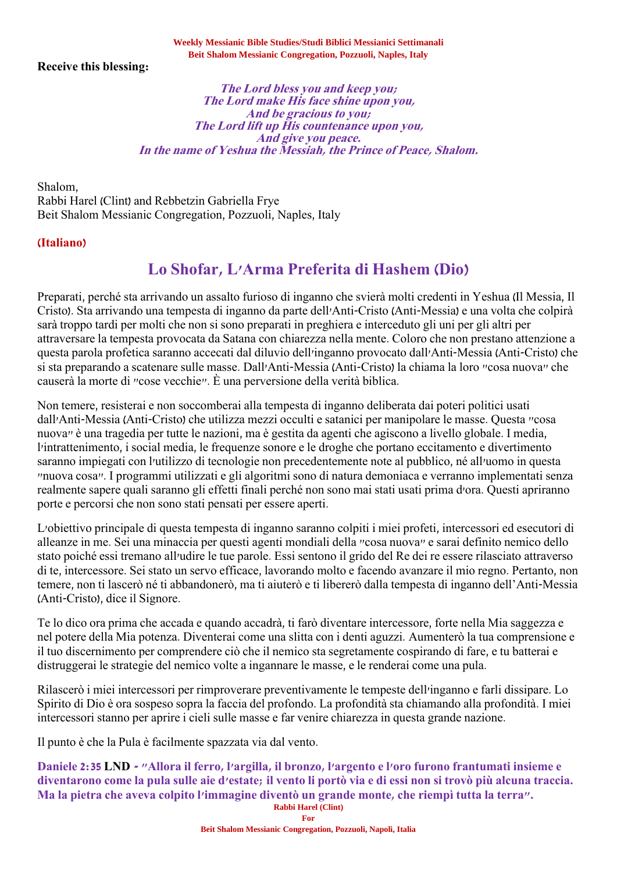**Receive this blessing:**

### **The Lord bless you and keep you; The Lord make His face shine upon you, And be gracious to you; The Lord lift up His countenance upon you, And give you peace. In the name of Yeshua the Messiah, the Prince of Peace, Shalom.**

Shalom, Rabbi Harel (Clint) and Rebbetzin Gabriella Frye Beit Shalom Messianic Congregation, Pozzuoli, Naples, Italy

## **(Italiano)**

# **Lo Shofar, L'Arma Preferita di Hashem (Dio)**

Preparati, perché sta arrivando un assalto furioso di inganno che svierà molti credenti in Yeshua (Il Messia, Il Cristo). Sta arrivando una tempesta di inganno da parte dell'Anti-Cristo (Anti-Messia) e una volta che colpirà sarà troppo tardi per molti che non si sono preparati in preghiera e interceduto gli uni per gli altri per attraversare la tempesta provocata da Satana con chiarezza nella mente. Coloro che non prestano attenzione a questa parola profetica saranno accecati dal diluvio dell'inganno provocato dall'Anti-Messia (Anti-Cristo) che si sta preparando a scatenare sulle masse. Dall'Anti-Messia (Anti-Cristo) la chiama la loro "cosa nuova" che causerà la morte di "cose vecchie". È una perversione della verità biblica.

Non temere, resisterai e non soccomberai alla tempesta di inganno deliberata dai poteri politici usati dall'Anti-Messia (Anti-Cristo) che utilizza mezzi occulti e satanici per manipolare le masse. Questa "cosa nuova" è una tragedia per tutte le nazioni, ma è gestita da agenti che agiscono a livello globale. I media, l'intrattenimento, i social media, le frequenze sonore e le droghe che portano eccitamento e divertimento saranno impiegati con l'utilizzo di tecnologie non precedentemente note al pubblico, né all'uomo in questa "nuova cosa". I programmi utilizzati e gli algoritmi sono di natura demoniaca e verranno implementati senza realmente sapere quali saranno gli effetti finali perché non sono mai stati usati prima d'ora. Questi apriranno porte e percorsi che non sono stati pensati per essere aperti.

L'obiettivo principale di questa tempesta di inganno saranno colpiti i miei profeti, intercessori ed esecutori di alleanze in me. Sei una minaccia per questi agenti mondiali della "cosa nuova" e sarai definito nemico dello stato poiché essi tremano all'udire le tue parole. Essi sentono il grido del Re dei re essere rilasciato attraverso di te, intercessore. Sei stato un servo efficace, lavorando molto e facendo avanzare il mio regno. Pertanto, non temere, non ti lascerò né ti abbandonerò, ma ti aiuterò e ti libererò dalla tempesta di inganno dell'Anti-Messia (Anti-Cristo), dice il Signore.

Te lo dico ora prima che accada e quando accadrà, ti farò diventare intercessore, forte nella Mia saggezza e nel potere della Mia potenza. Diventerai come una slitta con i denti aguzzi. Aumenterò la tua comprensione e il tuo discernimento per comprendere ciò che il nemico sta segretamente cospirando di fare, e tu batterai e distruggerai le strategie del nemico volte a ingannare le masse, e le renderai come una pula.

Rilascerò i miei intercessori per rimproverare preventivamente le tempeste dell'inganno e farli dissipare. Lo Spirito di Dio è ora sospeso sopra la faccia del profondo. La profondità sta chiamando alla profondità. I miei intercessori stanno per aprire i cieli sulle masse e far venire chiarezza in questa grande nazione.

Il punto è che la Pula è facilmente spazzata via dal vento.

**Rabbi Harel (Clint) Daniele 2:35 LND - "Allora il ferro, l'argilla, il bronzo, l'argento e l'oro furono frantumati insieme e diventarono come la pula sulle aie d'estate; il vento li portò via e di essi non si trovò più alcuna traccia. Ma la pietra che aveva colpito l'immagine diventò un grande monte, che riempì tutta la terra".**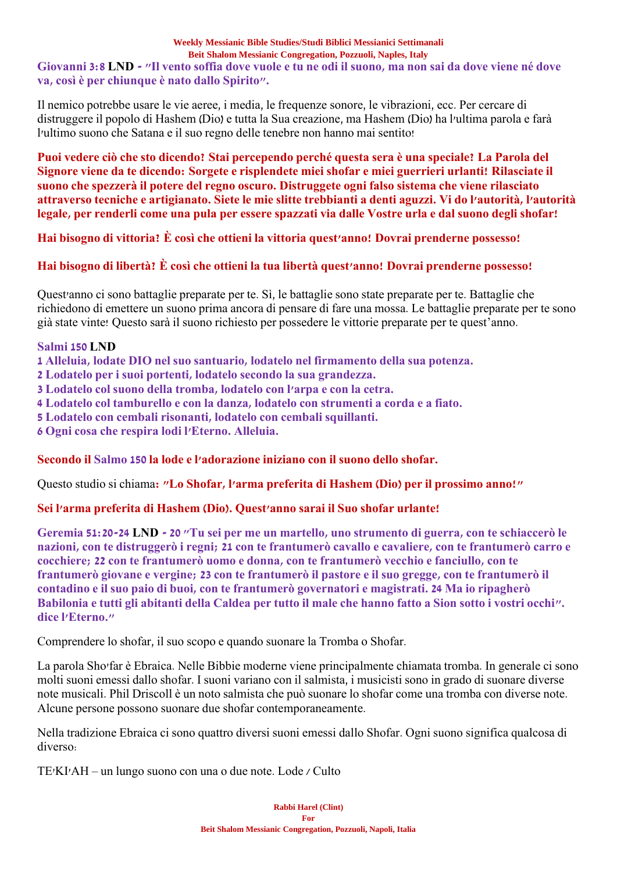## **Giovanni 3:8 LND - "Il vento soffia dove vuole e tu ne odi il suono, ma non sai da dove viene né dove va, così è per chiunque è nato dallo Spirito".**

Il nemico potrebbe usare le vie aeree, i media, le frequenze sonore, le vibrazioni, ecc. Per cercare di distruggere il popolo di Hashem (Dio) e tutta la Sua creazione, ma Hashem (Dio) ha l'ultima parola e farà l'ultimo suono che Satana e il suo regno delle tenebre non hanno mai sentito!

**Puoi vedere ciò che sto dicendo? Stai percependo perché questa sera è una speciale? La Parola del Signore viene da te dicendo: Sorgete e risplendete miei shofar e miei guerrieri urlanti! Rilasciate il suono che spezzerà il potere del regno oscuro. Distruggete ogni falso sistema che viene rilasciato attraverso tecniche e artigianato. Siete le mie slitte trebbianti a denti aguzzi. Vi do l'autorità, l'autorità legale, per renderli come una pula per essere spazzati via dalle Vostre urla e dal suono degli shofar!**

**Hai bisogno di vittoria? È così che ottieni la vittoria quest'anno! Dovrai prenderne possesso!**

# **Hai bisogno di libertà? È così che ottieni la tua libertà quest'anno! Dovrai prenderne possesso!**

Quest'anno ci sono battaglie preparate per te. Sì, le battaglie sono state preparate per te. Battaglie che richiedono di emettere un suono prima ancora di pensare di fare una mossa. Le battaglie preparate per te sono già state vinte! Questo sarà il suono richiesto per possedere le vittorie preparate per te quest'anno.

## **Salmi 150 LND**

**1 Alleluia, lodate DIO nel suo santuario, lodatelo nel firmamento della sua potenza.**

- **2 Lodatelo per i suoi portenti, lodatelo secondo la sua grandezza.**
- **3 Lodatelo col suono della tromba, lodatelo con l'arpa e con la cetra.**
- **4 Lodatelo col tamburello e con la danza, lodatelo con strumenti a corda e a fiato.**
- **5 Lodatelo con cembali risonanti, lodatelo con cembali squillanti.**
- **6 Ogni cosa che respira lodi l'Eterno. Alleluia.**

# **Secondo il Salmo 150 la lode e l'adorazione iniziano con il suono dello shofar.**

Questo studio si chiama**: "Lo Shofar, l'arma preferita di Hashem (Dio) per il prossimo anno!"**

# **Sei l'arma preferita di Hashem (Dio). Quest'anno sarai il Suo shofar urlante!**

**Geremia 51:20-24 LND - 20 "Tu sei per me un martello, uno strumento di guerra, con te schiaccerò le nazioni, con te distruggerò i regni; 21 con te frantumerò cavallo e cavaliere, con te frantumerò carro e cocchiere; 22 con te frantumerò uomo e donna, con te frantumerò vecchio e fanciullo, con te frantumerò giovane e vergine; 23 con te frantumerò il pastore e il suo gregge, con te frantumerò il contadino e il suo paio di buoi, con te frantumerò governatori e magistrati. 24 Ma io ripagherò Babilonia e tutti gli abitanti della Caldea per tutto il male che hanno fatto a Sion sotto i vostri occhi". dice l'Eterno."**

Comprendere lo shofar, il suo scopo e quando suonare la Tromba o Shofar.

La parola Sho'far è Ebraica. Nelle Bibbie moderne viene principalmente chiamata tromba. In generale ci sono molti suoni emessi dallo shofar. I suoni variano con il salmista, i musicisti sono in grado di suonare diverse note musicali. Phil Driscoll è un noto salmista che può suonare lo shofar come una tromba con diverse note. Alcune persone possono suonare due shofar contemporaneamente.

Nella tradizione Ebraica ci sono quattro diversi suoni emessi dallo Shofar. Ogni suono significa qualcosa di diverso:

TE'KI'AH – un lungo suono con una o due note. Lode / Culto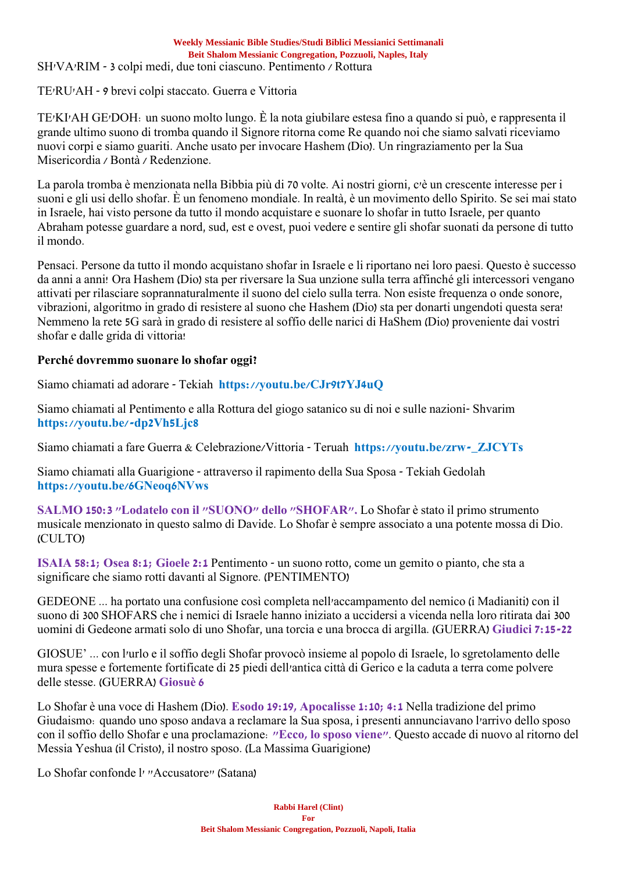SH'VA'RIM - 3 colpi medi, due toni ciascuno. Pentimento / Rottura

TE'RU'AH - 9 brevi colpi staccato. Guerra e Vittoria

TE'KI'AH GE'DOH: un suono molto lungo. È la nota giubilare estesa fino a quando si può, e rappresenta il grande ultimo suono di tromba quando il Signore ritorna come Re quando noi che siamo salvati riceviamo nuovi corpi e siamo guariti. Anche usato per invocare Hashem (Dio). Un ringraziamento per la Sua Misericordia / Bontà / Redenzione.

La parola tromba è menzionata nella Bibbia più di 70 volte. Ai nostri giorni, c'è un crescente interesse per i suoni e gli usi dello shofar. È un fenomeno mondiale. In realtà, è un movimento dello Spirito. Se sei mai stato in Israele, hai visto persone da tutto il mondo acquistare e suonare lo shofar in tutto Israele, per quanto Abraham potesse guardare a nord, sud, est e ovest, puoi vedere e sentire gli shofar suonati da persone di tutto il mondo.

Pensaci. Persone da tutto il mondo acquistano shofar in Israele e li riportano nei loro paesi. Questo è successo da anni a anni! Ora Hashem (Dio) sta per riversare la Sua unzione sulla terra affinché gli intercessori vengano attivati per rilasciare soprannaturalmente il suono del cielo sulla terra. Non esiste frequenza o onde sonore, vibrazioni, algoritmo in grado di resistere al suono che Hashem (Dio) sta per donarti ungendoti questa sera! Nemmeno la rete 5G sarà in grado di resistere al soffio delle narici di HaShem (Dio) proveniente dai vostri shofar e dalle grida di vittoria!

## **Perché dovremmo suonare lo shofar oggi?**

Siamo chiamati ad adorare - Tekiah **https://youtu.be/CJr9t7YJ4uQ**

Siamo chiamati al Pentimento e alla Rottura del giogo satanico su di noi e sulle nazioni- Shvarim **https://youtu.be/-dp2Vh5Ljc8**

Siamo chiamati a fare Guerra & Celebrazione/Vittoria - Teruah **https://youtu.be/zrw-\_ZJCYTs**

Siamo chiamati alla Guarigione - attraverso il rapimento della Sua Sposa - Tekiah Gedolah **https://youtu.be/6GNeoq6NVws**

**SALMO 150:3 "Lodatelo con il "SUONO" dello "SHOFAR".** Lo Shofar è stato il primo strumento musicale menzionato in questo salmo di Davide. Lo Shofar è sempre associato a una potente mossa di Dio. (CULTO)

**ISAIA 58:1; Osea 8:1; Gioele 2:1** Pentimento - un suono rotto, come un gemito o pianto, che sta a significare che siamo rotti davanti al Signore. (PENTIMENTO)

GEDEONE ... ha portato una confusione così completa nell'accampamento del nemico (i Madianiti) con il suono di 300 SHOFARS che i nemici di Israele hanno iniziato a uccidersi a vicenda nella loro ritirata dai 300 uomini di Gedeone armati solo di uno Shofar, una torcia e una brocca di argilla. (GUERRA) **Giudici 7:15-22**

GIOSUE' ... con l'urlo e il soffio degli Shofar provocò insieme al popolo di Israele, lo sgretolamento delle mura spesse e fortemente fortificate di 25 piedi dell'antica città di Gerico e la caduta a terra come polvere delle stesse. (GUERRA) **Giosuè 6**

Lo Shofar è una voce di Hashem (Dio). **Esodo 19:19, Apocalisse 1:10; 4:1** Nella tradizione del primo Giudaismo: quando uno sposo andava a reclamare la Sua sposa, i presenti annunciavano l'arrivo dello sposo con il soffio dello Shofar e una proclamazione: **"Ecco, lo sposo viene"**. Questo accade di nuovo al ritorno del Messia Yeshua (il Cristo), il nostro sposo. (La Massima Guarigione)

Lo Shofar confonde l' "Accusatore" (Satana)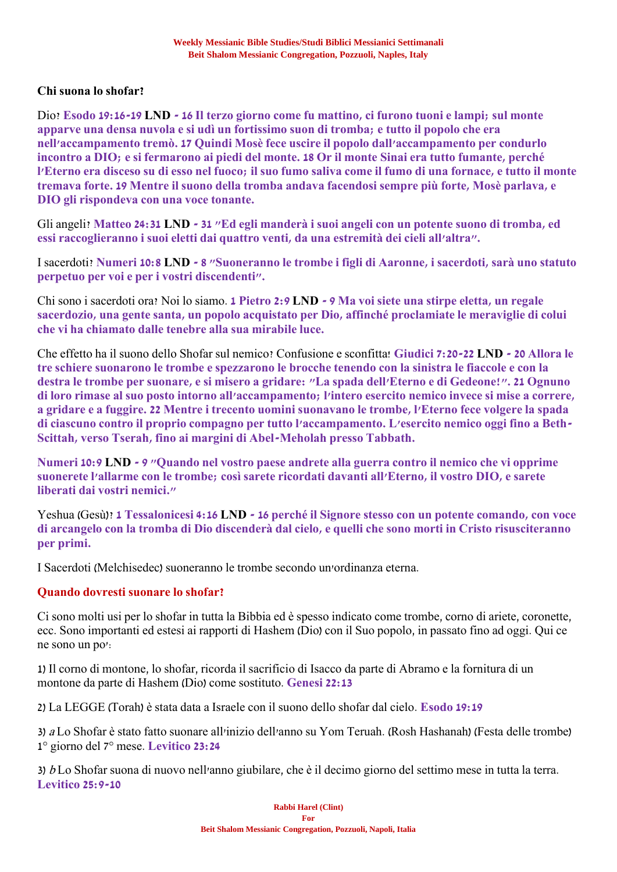## **Chi suona lo shofar?**

Dio? **Esodo 19:16-19 LND - 16 Il terzo giorno come fu mattino, ci furono tuoni e lampi; sul monte apparve una densa nuvola e si udì un fortissimo suon di tromba; e tutto il popolo che era nell'accampamento tremò. 17 Quindi Mosè fece uscire il popolo dall'accampamento per condurlo incontro a DIO; e si fermarono ai piedi del monte. 18 Or il monte Sinai era tutto fumante, perché l'Eterno era disceso su di esso nel fuoco; il suo fumo saliva come il fumo di una fornace, e tutto il monte tremava forte. 19 Mentre il suono della tromba andava facendosi sempre più forte, Mosè parlava, e DIO gli rispondeva con una voce tonante.**

Gli angeli? **Matteo 24:31 LND - 31 "Ed egli manderà i suoi angeli con un potente suono di tromba, ed essi raccoglieranno i suoi eletti dai quattro venti, da una estremità dei cieli all'altra".**

I sacerdoti? **Numeri 10:8 LND - 8 "Suoneranno le trombe i figli di Aaronne, i sacerdoti, sarà uno statuto perpetuo per voi e per i vostri discendenti".**

Chi sono i sacerdoti ora? Noi lo siamo. **1 Pietro 2:9 LND - 9 Ma voi siete una stirpe eletta, un regale sacerdozio, una gente santa, un popolo acquistato per Dio, affinché proclamiate le meraviglie di colui che vi ha chiamato dalle tenebre alla sua mirabile luce.**

Che effetto ha il suono dello Shofar sul nemico? Confusione e sconfitta! **Giudici 7:20-22 LND - 20 Allora le tre schiere suonarono le trombe e spezzarono le brocche tenendo con la sinistra le fiaccole e con la destra le trombe per suonare, e si misero a gridare: "La spada dell'Eterno e di Gedeone!". 21 Ognuno di loro rimase al suo posto intorno all'accampamento; l'intero esercito nemico invece si mise a correre, a gridare e a fuggire. 22 Mentre i trecento uomini suonavano le trombe, l'Eterno fece volgere la spada di ciascuno contro il proprio compagno per tutto l'accampamento. L'esercito nemico oggi fino a Beth-Scittah, verso Tserah, fino ai margini di Abel-Meholah presso Tabbath.**

**Numeri 10:9 LND - 9 "Quando nel vostro paese andrete alla guerra contro il nemico che vi opprime suonerete l'allarme con le trombe; così sarete ricordati davanti all'Eterno, il vostro DIO, e sarete liberati dai vostri nemici."**

Yeshua (Gesù)? **1 Tessalonicesi 4:16 LND - 16 perché il Signore stesso con un potente comando, con voce di arcangelo con la tromba di Dio discenderà dal cielo, e quelli che sono morti in Cristo risusciteranno per primi.**

I Sacerdoti (Melchisedec) suoneranno le trombe secondo un'ordinanza eterna.

## **Quando dovresti suonare lo shofar?**

Ci sono molti usi per lo shofar in tutta la Bibbia ed è spesso indicato come trombe, corno di ariete, coronette, ecc. Sono importanti ed estesi ai rapporti di Hashem (Dio) con il Suo popolo, in passato fino ad oggi. Qui ce ne sono un po':

1) Il corno di montone, lo shofar, ricorda il sacrificio di Isacco da parte di Abramo e la fornitura di un montone da parte di Hashem (Dio) come sostituto. **Genesi 22:13**

2) La LEGGE (Torah) è stata data a Israele con il suono dello shofar dal cielo. **Esodo 19:19**

3) <sup>a</sup> Lo Shofar è stato fatto suonare all'inizio dell'anno su Yom Teruah. (Rosh Hashanah) (Festa delle trombe) 1° giorno del 7° mese. **Levitico 23:24**

3) b Lo Shofar suona di nuovo nell'anno giubilare, che è il decimo giorno del settimo mese in tutta la terra. **Levitico 25:9-10**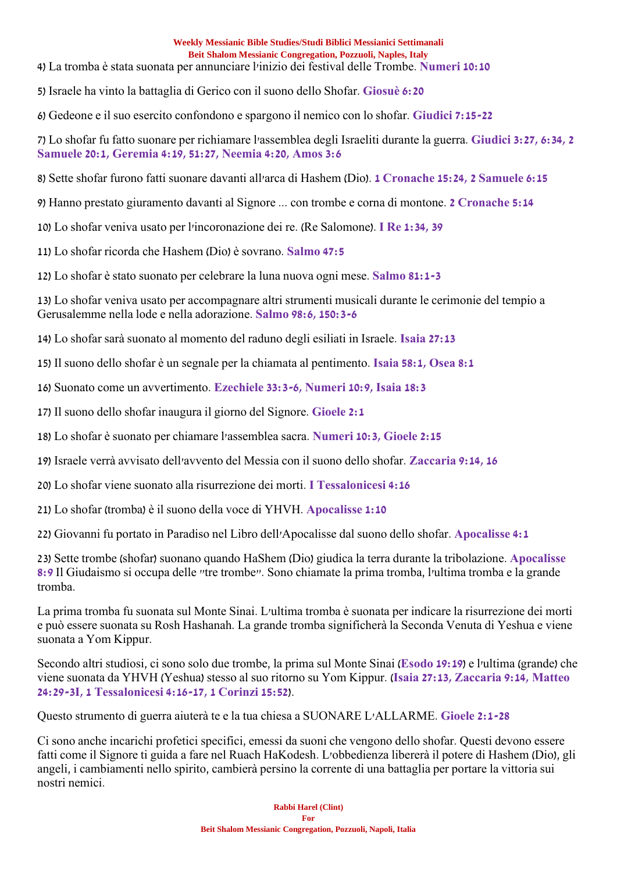4) La tromba è stata suonata per annunciare l'inizio dei festival delle Trombe. **Numeri 10:10**

5) Israele ha vinto la battaglia di Gerico con il suono dello Shofar. **Giosuè 6:20**

6) Gedeone e il suo esercito confondono e spargono il nemico con lo shofar. **Giudici 7:15-22**

7) Lo shofar fu fatto suonare per richiamare l'assemblea degli Israeliti durante la guerra. **Giudici 3:27, 6:34, 2 Samuele 20:1, Geremia 4:19, 51:27, Neemia 4:20, Amos 3:6**

8) Sette shofar furono fatti suonare davanti all'arca di Hashem (Dio). **1 Cronache 15:24, 2 Samuele 6:15**

9) Hanno prestato giuramento davanti al Signore ... con trombe e corna di montone. **2 Cronache 5:14**

10) Lo shofar veniva usato per l'incoronazione dei re. (Re Salomone). **I Re 1:34, 39**

11) Lo shofar ricorda che Hashem (Dio) è sovrano. **Salmo 47:5**

12) Lo shofar è stato suonato per celebrare la luna nuova ogni mese. **Salmo 81:1-3**

13) Lo shofar veniva usato per accompagnare altri strumenti musicali durante le cerimonie del tempio a Gerusalemme nella lode e nella adorazione. **Salmo 98:6, 150:3-6**

14) Lo shofar sarà suonato al momento del raduno degli esiliati in Israele. **Isaia 27:13**

15) Il suono dello shofar è un segnale per la chiamata al pentimento. **Isaia 58:1, Osea 8:1**

16) Suonato come un avvertimento. **Ezechiele 33:3-6, Numeri 10:9, Isaia 18:3**

17) Il suono dello shofar inaugura il giorno del Signore. **Gioele 2:1**

18) Lo shofar è suonato per chiamare l'assemblea sacra. **Numeri 10:3, Gioele 2:15**

19) Israele verrà avvisato dell'avvento del Messia con il suono dello shofar. **Zaccaria 9:14, 16**

20) Lo shofar viene suonato alla risurrezione dei morti. **I Tessalonicesi 4:16**

21) Lo shofar (tromba) è il suono della voce di YHVH. **Apocalisse 1:10**

22) Giovanni fu portato in Paradiso nel Libro dell'Apocalisse dal suono dello shofar. **Apocalisse 4:1**

23) Sette trombe (shofar) suonano quando HaShem (Dio) giudica la terra durante la tribolazione. **Apocalisse 8:9** Il Giudaismo si occupa delle "tre trombe". Sono chiamate la prima tromba, l'ultima tromba e la grande tromba.

La prima tromba fu suonata sul Monte Sinai. L'ultima tromba è suonata per indicare la risurrezione dei morti e può essere suonata su Rosh Hashanah. La grande tromba significherà la Seconda Venuta di Yeshua e viene suonata a Yom Kippur.

Secondo altri studiosi, ci sono solo due trombe, la prima sul Monte Sinai (**Esodo 19:19**) e l'ultima (grande) che viene suonata da YHVH (Yeshua) stesso al suo ritorno su Yom Kippur. (**Isaia 27:13, Zaccaria 9:14, Matteo 24:29-3I, 1 Tessalonicesi 4:16-17, 1 Corinzi 15:52**).

Questo strumento di guerra aiuterà te e la tua chiesa a SUONARE L'ALLARME. **Gioele 2:1-28**

Ci sono anche incarichi profetici specifici, emessi da suoni che vengono dello shofar. Questi devono essere fatti come il Signore ti guida a fare nel Ruach HaKodesh. L'obbedienza libererà il potere di Hashem (Dio), gli angeli, i cambiamenti nello spirito, cambierà persino la corrente di una battaglia per portare la vittoria sui nostri nemici.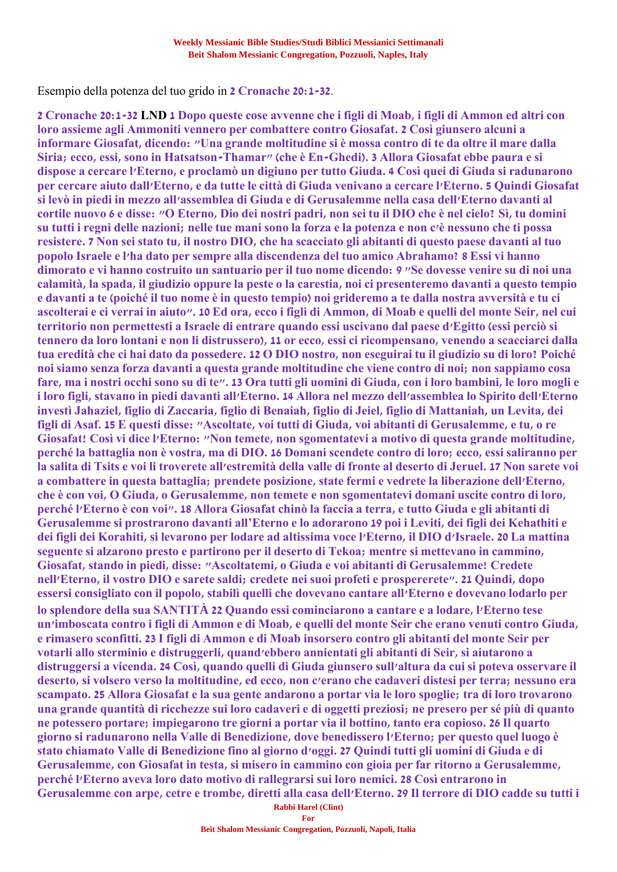Esempio della potenza del tuo grido in **2 Cronache 20:1-32**.

**Rabbi Harel (Clint) 2 Cronache 20:1-32 LND 1 Dopo queste cose avvenne che i figli di Moab, i figli di Ammon ed altri con loro assieme agli Ammoniti vennero per combattere contro Giosafat. 2 Così giunsero alcuni a informare Giosafat, dicendo: "Una grande moltitudine si è mossa contro di te da oltre il mare dalla Siria; ecco, essi, sono in Hatsatson-Thamar" (che è En-Ghedi). 3 Allora Giosafat ebbe paura e si dispose a cercare l'Eterno, e proclamò un digiuno per tutto Giuda. 4 Così quei di Giuda si radunarono per cercare aiuto dall'Eterno, e da tutte le città di Giuda venivano a cercare l'Eterno. 5 Quindi Giosafat si levò in piedi in mezzo all'assemblea di Giuda e di Gerusalemme nella casa dell'Eterno davanti al cortile nuovo 6 e disse: "O Eterno, Dio dei nostri padri, non sei tu il DIO che è nel cielo? Sì, tu domini su tutti i regni delle nazioni; nelle tue mani sono la forza e la potenza e non c'è nessuno che ti possa resistere. 7 Non sei stato tu, il nostro DIO, che ha scacciato gli abitanti di questo paese davanti al tuo popolo Israele e l'ha dato per sempre alla discendenza del tuo amico Abrahamo? 8 Essi vi hanno dimorato e vi hanno costruito un santuario per il tuo nome dicendo: 9 "Se dovesse venire su di noi una calamità, la spada, il giudizio oppure la peste o la carestia, noi ci presenteremo davanti a questo tempio e davanti a te (poiché il tuo nome è in questo tempio) noi grideremo a te dalla nostra avversità e tu ci ascolterai e ci verrai in aiuto". 10 Ed ora, ecco i figli di Ammon, di Moab e quelli del monte Seir, nel cui territorio non permettesti a Israele di entrare quando essi uscivano dal paese d'Egitto (essi perciò si tennero da loro lontani e non li distrussero), 11 or ecco, essi ci ricompensano, venendo a scacciarci dalla tua eredità che ci hai dato da possedere. 12 O DIO nostro, non eseguirai tu il giudizio su di loro? Poiché noi siamo senza forza davanti a questa grande moltitudine che viene contro di noi; non sappiamo cosa fare, ma i nostri occhi sono su di te". 13 Ora tutti gli uomini di Giuda, con i loro bambini, le loro mogli e i loro figli, stavano in piedi davanti all'Eterno. 14 Allora nel mezzo dell'assemblea lo Spirito dell'Eterno investì Jahaziel, figlio di Zaccaria, figlio di Benaiah, figlio di Jeiel, figlio di Mattaniah, un Levita, dei figli di Asaf. 15 E questi disse: "Ascoltate, voi tutti di Giuda, voi abitanti di Gerusalemme, e tu, o re Giosafat! Così vi dice l'Eterno: "Non temete, non sgomentatevi a motivo di questa grande moltitudine, perché la battaglia non è vostra, ma di DIO. 16 Domani scendete contro di loro; ecco, essi saliranno per la salita di Tsits e voi li troverete all'estremità della valle di fronte al deserto di Jeruel. 17 Non sarete voi a combattere in questa battaglia; prendete posizione, state fermi e vedrete la liberazione dell'Eterno, che è con voi, O Giuda, o Gerusalemme, non temete e non sgomentatevi domani uscite contro di loro, perché l'Eterno è con voi". 18 Allora Giosafat chinò la faccia a terra, e tutto Giuda e gli abitanti di Gerusalemme si prostrarono davanti all'Eterno e lo adorarono 19 poi i Leviti, dei figli dei Kehathiti e dei figli dei Korahiti, si levarono per lodare ad altissima voce l'Eterno, il DIO d'Israele. 20 La mattina seguente si alzarono presto e partirono per il deserto di Tekoa; mentre si mettevano in cammino, Giosafat, stando in piedi, disse: "Ascoltatemi, o Giuda e voi abitanti di Gerusalemme! Credete nell'Eterno, il vostro DIO e sarete saldi; credete nei suoi profeti e prospererete". 21 Quindi, dopo essersi consigliato con il popolo, stabilì quelli che dovevano cantare all'Eterno e dovevano lodarlo per lo splendore della sua SANTITÀ 22 Quando essi cominciarono a cantare e a lodare, l'Eterno tese un'imboscata contro i figli di Ammon e di Moab, e quelli del monte Seir che erano venuti contro Giuda, e rimasero sconfitti. 23 I figli di Ammon e di Moab insorsero contro gli abitanti del monte Seir per votarli allo sterminio e distruggerli, quand'ebbero annientati gli abitanti di Seir, si aiutarono a distruggersi a vicenda. 24 Così, quando quelli di Giuda giunsero sull'altura da cui si poteva osservare il deserto, si volsero verso la moltitudine, ed ecco, non c'erano che cadaveri distesi per terra; nessuno era scampato. 25 Allora Giosafat e la sua gente andarono a portar via le loro spoglie; tra di loro trovarono una grande quantità di ricchezze sui loro cadaveri e di oggetti preziosi; ne presero per sé più di quanto ne potessero portare; impiegarono tre giorni a portar via il bottino, tanto era copioso. 26 Il quarto giorno si radunarono nella Valle di Benedizione, dove benedissero l'Eterno; per questo quel luogo è stato chiamato Valle di Benedizione fino al giorno d'oggi. 27 Quindi tutti gli uomini di Giuda e di Gerusalemme, con Giosafat in testa, si misero in cammino con gioia per far ritorno a Gerusalemme, perché l'Eterno aveva loro dato motivo di rallegrarsi sui loro nemici. 28 Così entrarono in Gerusalemme con arpe, cetre e trombe, diretti alla casa dell'Eterno. 29 Il terrore di DIO cadde su tutti i**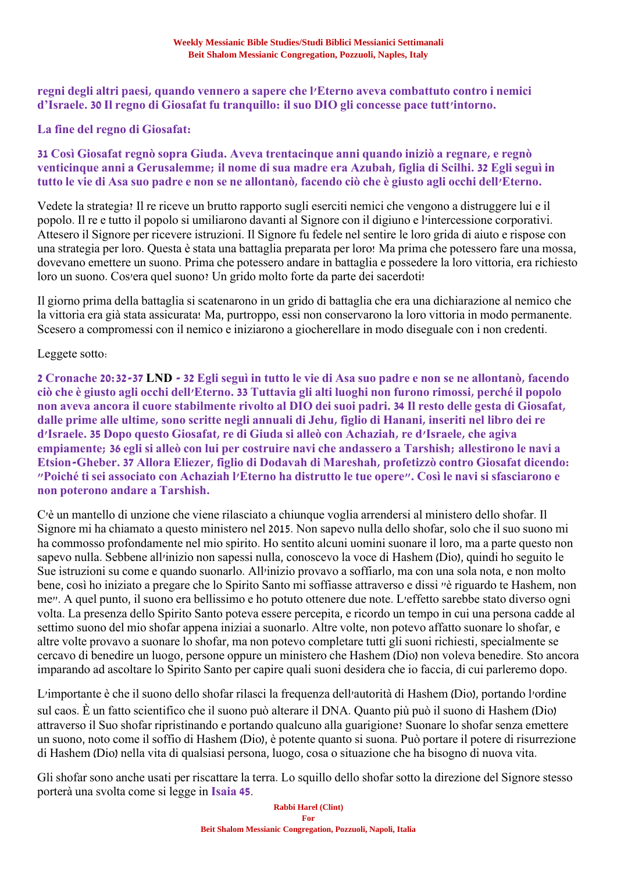## **regni degli altri paesi, quando vennero a sapere che l'Eterno aveva combattuto contro i nemici d'Israele. 30 Il regno di Giosafat fu tranquillo: il suo DIO gli concesse pace tutt'intorno.**

## **La fine del regno di Giosafat:**

## **31 Così Giosafat regnò sopra Giuda. Aveva trentacinque anni quando iniziò a regnare, e regnò venticinque anni a Gerusalemme; il nome di sua madre era Azubah, figlia di Scilhi. 32 Egli seguì in tutto le vie di Asa suo padre e non se ne allontanò, facendo ciò che è giusto agli occhi dell'Eterno.**

Vedete la strategia? Il re riceve un brutto rapporto sugli eserciti nemici che vengono a distruggere lui e il popolo. Il re e tutto il popolo si umiliarono davanti al Signore con il digiuno e l'intercessione corporativi. Attesero il Signore per ricevere istruzioni. Il Signore fu fedele nel sentire le loro grida di aiuto e rispose con una strategia per loro. Questa è stata una battaglia preparata per loro! Ma prima che potessero fare una mossa, dovevano emettere un suono. Prima che potessero andare in battaglia e possedere la loro vittoria, era richiesto loro un suono. Cos'era quel suono? Un grido molto forte da parte dei sacerdoti!

Il giorno prima della battaglia si scatenarono in un grido di battaglia che era una dichiarazione al nemico che la vittoria era già stata assicurata! Ma, purtroppo, essi non conservarono la loro vittoria in modo permanente. Scesero a compromessi con il nemico e iniziarono a giocherellare in modo diseguale con i non credenti.

## Leggete sotto:

**2 Cronache 20:32-37 LND - 32 Egli seguì in tutto le vie di Asa suo padre e non se ne allontanò, facendo ciò che è giusto agli occhi dell'Eterno. 33 Tuttavia gli alti luoghi non furono rimossi, perché il popolo non aveva ancora il cuore stabilmente rivolto al DIO dei suoi padri. 34 Il resto delle gesta di Giosafat, dalle prime alle ultime, sono scritte negli annuali di Jehu, figlio di Hanani, inseriti nel libro dei re d'Israele. 35 Dopo questo Giosafat, re di Giuda si alleò con Achaziah, re d'Israele, che agiva empiamente; 36 egli si alleò con lui per costruire navi che andassero a Tarshish; allestirono le navi a Etsion-Gheber. 37 Allora Eliezer, figlio di Dodavah di Mareshah, profetizzò contro Giosafat dicendo: "Poiché ti sei associato con Achaziah l'Eterno ha distrutto le tue opere". Così le navi si sfasciarono e non poterono andare a Tarshish.**

C'è un mantello di unzione che viene rilasciato a chiunque voglia arrendersi al ministero dello shofar. Il Signore mi ha chiamato a questo ministero nel 2015. Non sapevo nulla dello shofar, solo che il suo suono mi ha commosso profondamente nel mio spirito. Ho sentito alcuni uomini suonare il loro, ma a parte questo non sapevo nulla. Sebbene all'inizio non sapessi nulla, conoscevo la voce di Hashem (Dio), quindi ho seguito le Sue istruzioni su come e quando suonarlo. All'inizio provavo a soffiarlo, ma con una sola nota, e non molto bene, così ho iniziato a pregare che lo Spirito Santo mi soffiasse attraverso e dissi "è riguardo te Hashem, non me". A quel punto, il suono era bellissimo e ho potuto ottenere due note. L'effetto sarebbe stato diverso ogni volta. La presenza dello Spirito Santo poteva essere percepita, e ricordo un tempo in cui una persona cadde al settimo suono del mio shofar appena iniziai a suonarlo. Altre volte, non potevo affatto suonare lo shofar, e altre volte provavo a suonare lo shofar, ma non potevo completare tutti gli suoni richiesti, specialmente se cercavo di benedire un luogo, persone oppure un ministero che Hashem (Dio) non voleva benedire. Sto ancora imparando ad ascoltare lo Spirito Santo per capire quali suoni desidera che io faccia, di cui parleremo dopo.

L'importante è che il suono dello shofar rilasci la frequenza dell'autorità di Hashem (Dio), portando l'ordine sul caos. È un fatto scientifico che il suono può alterare il DNA. Quanto più può il suono di Hashem (Dio) attraverso il Suo shofar ripristinando e portando qualcuno alla guarigione? Suonare lo shofar senza emettere un suono, noto come il soffio di Hashem (Dio), è potente quanto si suona. Può portare il potere di risurrezione di Hashem (Dio) nella vita di qualsiasi persona, luogo, cosa o situazione che ha bisogno di nuova vita.

Gli shofar sono anche usati per riscattare la terra. Lo squillo dello shofar sotto la direzione del Signore stesso porterà una svolta come si legge in **Isaia 45**.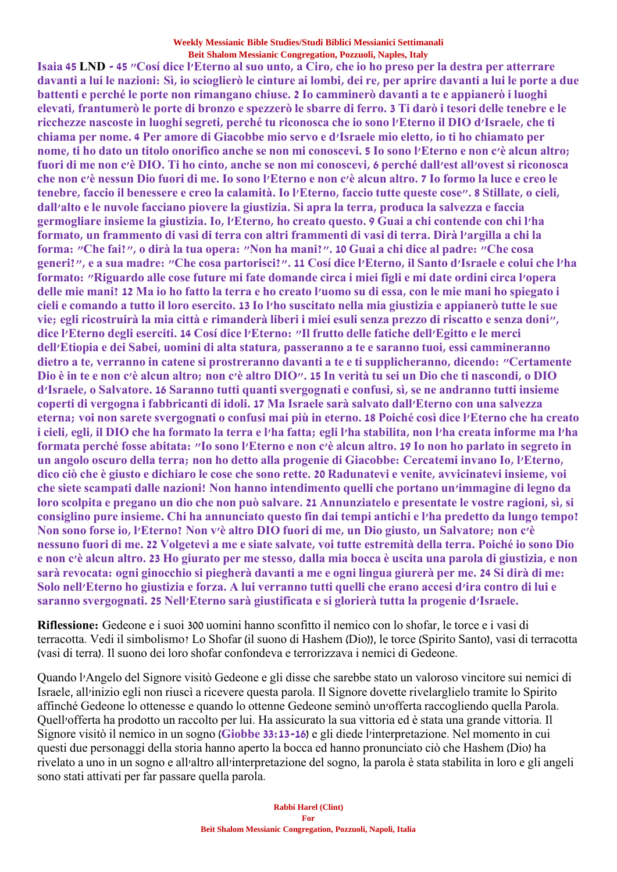**Isaia 45 LND - 45 "Cosí dice l'Eterno al suo unto, a Ciro, che io ho preso per la destra per atterrare davanti a lui le nazioni: Sì, io scioglierò le cinture ai lombi, dei re, per aprire davanti a lui le porte a due battenti e perché le porte non rimangano chiuse. 2 Io camminerò davanti a te e appianerò i luoghi elevati, frantumerò le porte di bronzo e spezzerò le sbarre di ferro. 3 Ti darò i tesori delle tenebre e le ricchezze nascoste in luoghi segreti, perché tu riconosca che io sono l'Eterno il DIO d'Israele, che ti chiama per nome. 4 Per amore di Giacobbe mio servo e d'Israele mio eletto, io ti ho chiamato per nome, ti ho dato un titolo onorifico anche se non mi conoscevi. 5 Io sono l'Eterno e non c'è alcun altro; fuori di me non c'è DIO. Ti ho cinto, anche se non mi conoscevi, 6 perché dall'est all'ovest si riconosca che non c'è nessun Dio fuori di me. Io sono l'Eterno e non c'è alcun altro. 7 Io formo la luce e creo le tenebre, faccio il benessere e creo la calamità. Io l'Eterno, faccio tutte queste cose". 8 Stillate, o cieli, dall'alto e le nuvole facciano piovere la giustizia. Si apra la terra, produca la salvezza e faccia germogliare insieme la giustizia. Io, l'Eterno, ho creato questo. 9 Guai a chi contende con chi l'ha formato, un frammento di vasi di terra con altri frammenti di vasi di terra. Dirà l'argilla a chi la forma: "Che fai?", o dirà la tua opera: "Non ha mani?". 10 Guai a chi dice al padre: "Che cosa generi?", e a sua madre: "Che cosa partorisci?". 11 Cosí dice l'Eterno, il Santo d'Israele e colui che l'ha formato: "Riguardo alle cose future mi fate domande circa i miei figli e mi date ordini circa l'opera delle mie mani? 12 Ma io ho fatto la terra e ho creato l'uomo su di essa, con le mie mani ho spiegato i cieli e comando a tutto il loro esercito. 13 Io l'ho suscitato nella mia giustizia e appianerò tutte le sue vie; egli ricostruirà la mia città e rimanderà liberi i miei esuli senza prezzo di riscatto e senza doni", dice l'Eterno degli eserciti. 14 Cosí dice l'Eterno: "Il frutto delle fatiche dell'Egitto e le merci dell'Etiopia e dei Sabei, uomini di alta statura, passeranno a te e saranno tuoi, essi cammineranno dietro a te, verranno in catene si prostreranno davanti a te e ti supplicheranno, dicendo: "Certamente Dio è in te e non c'è alcun altro; non c'è altro DIO". 15 In verità tu sei un Dio che ti nascondi, o DIO d'Israele, o Salvatore. 16 Saranno tutti quanti svergognati e confusi, sì, se ne andranno tutti insieme coperti di vergogna i fabbricanti di idoli. 17 Ma Israele sarà salvato dall'Eterno con una salvezza eterna; voi non sarete svergognati o confusi mai più in eterno. 18 Poiché così dice l'Eterno che ha creato i cieli, egli, il DIO che ha formato la terra e l'ha fatta; egli l'ha stabilita, non l'ha creata informe ma l'ha formata perché fosse abitata: "Io sono l'Eterno e non c'è alcun altro. 19 Io non ho parlato in segreto in un angolo oscuro della terra; non ho detto alla progenie di Giacobbe: Cercatemi invano Io, l'Eterno, dico ciò che è giusto e dichiaro le cose che sono rette. 20 Radunatevi e venite, avvicinatevi insieme, voi che siete scampati dalle nazioni! Non hanno intendimento quelli che portano un'immagine di legno da loro scolpita e pregano un dio che non può salvare. 21 Annunziatelo e presentate le vostre ragioni, sì, si consiglino pure insieme. Chi ha annunciato questo fin dai tempi antichi e l'ha predetto da lungo tempo? Non sono forse io, l'Eterno? Non v'è altro DIO fuori di me, un Dio giusto, un Salvatore; non c'è nessuno fuori di me. 22 Volgetevi a me e siate salvate, voi tutte estremità della terra. Poiché io sono Dio e non c'è alcun altro. 23 Ho giurato per me stesso, dalla mia bocca è uscita una parola di giustizia, e non sarà revocata: ogni ginocchio si piegherà davanti a me e ogni lingua giurerà per me. 24 Si dirà di me: Solo nell'Eterno ho giustizia e forza. A lui verranno tutti quelli che erano accesi d'ira contro di lui e saranno svergognati. 25 Nell'Eterno sarà giustificata e si glorierà tutta la progenie d'Israele.**

**Riflessione:** Gedeone e i suoi 300 uomini hanno sconfitto il nemico con lo shofar, le torce e i vasi di terracotta. Vedi il simbolismo? Lo Shofar (il suono di Hashem (Dio)), le torce (Spirito Santo), vasi di terracotta (vasi di terra). Il suono dei loro shofar confondeva e terrorizzava i nemici di Gedeone.

Quando l'Angelo del Signore visitò Gedeone e gli disse che sarebbe stato un valoroso vincitore sui nemici di Israele, all'inizio egli non riuscì a ricevere questa parola. Il Signore dovette rivelarglielo tramite lo Spirito affinché Gedeone lo ottenesse e quando lo ottenne Gedeone seminò un'offerta raccogliendo quella Parola. Quell'offerta ha prodotto un raccolto per lui. Ha assicurato la sua vittoria ed è stata una grande vittoria. Il Signore visitò il nemico in un sogno (**Giobbe 33:13-16**) e gli diede l'interpretazione. Nel momento in cui questi due personaggi della storia hanno aperto la bocca ed hanno pronunciato ciò che Hashem (Dio) ha rivelato a uno in un sogno e all'altro all'interpretazione del sogno, la parola è stata stabilita in loro e gli angeli sono stati attivati per far passare quella parola.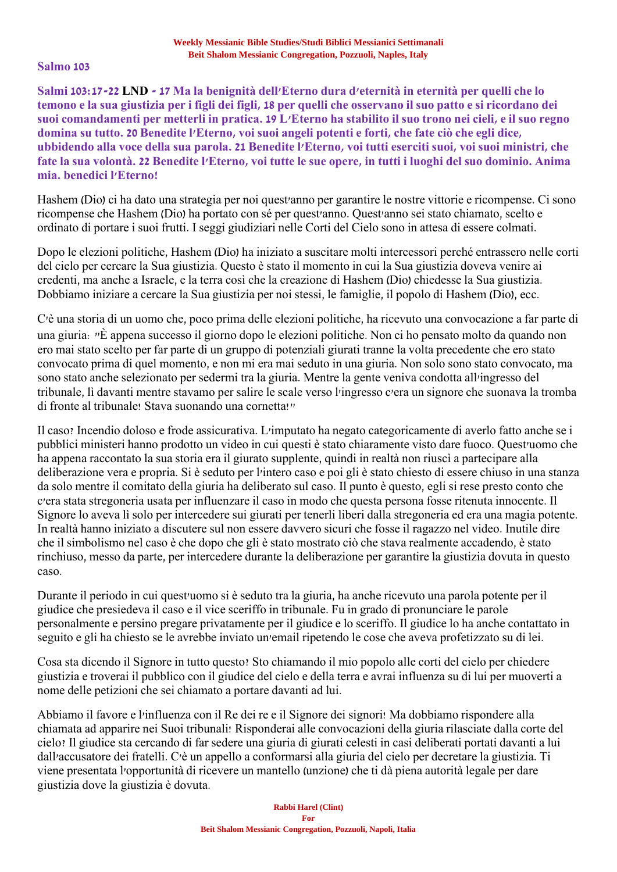### **Salmo 103**

**Salmi 103:17-22 LND - 17 Ma la benignità dell'Eterno dura d'eternità in eternità per quelli che lo temono e la sua giustizia per i figli dei figli, 18 per quelli che osservano il suo patto e si ricordano dei suoi comandamenti per metterli in pratica. 19 L'Eterno ha stabilito il suo trono nei cieli, e il suo regno domina su tutto. 20 Benedite l'Eterno, voi suoi angeli potenti e forti, che fate ciò che egli dice, ubbidendo alla voce della sua parola. 21 Benedite l'Eterno, voi tutti eserciti suoi, voi suoi ministri, che fate la sua volontà. 22 Benedite l'Eterno, voi tutte le sue opere, in tutti i luoghi del suo dominio. Anima mia. benedici l'Eterno!**

Hashem (Dio) ci ha dato una strategia per noi quest'anno per garantire le nostre vittorie e ricompense. Ci sono ricompense che Hashem (Dio) ha portato con sé per quest'anno. Quest'anno sei stato chiamato, scelto e ordinato di portare i suoi frutti. I seggi giudiziari nelle Corti del Cielo sono in attesa di essere colmati.

Dopo le elezioni politiche, Hashem (Dio) ha iniziato a suscitare molti intercessori perché entrassero nelle corti del cielo per cercare la Sua giustizia. Questo è stato il momento in cui la Sua giustizia doveva venire ai credenti, ma anche a Israele, e la terra così che la creazione di Hashem (Dio) chiedesse la Sua giustizia. Dobbiamo iniziare a cercare la Sua giustizia per noi stessi, le famiglie, il popolo di Hashem (Dio), ecc.

C'è una storia di un uomo che, poco prima delle elezioni politiche, ha ricevuto una convocazione a far parte di una giuria: "È appena successo il giorno dopo le elezioni politiche. Non ci ho pensato molto da quando non ero mai stato scelto per far parte di un gruppo di potenziali giurati tranne la volta precedente che ero stato convocato prima di quel momento, e non mi era mai seduto in una giuria. Non solo sono stato convocato, ma sono stato anche selezionato per sedermi tra la giuria. Mentre la gente veniva condotta all'ingresso del tribunale, lì davanti mentre stavamo per salire le scale verso l'ingresso c'era un signore che suonava la tromba di fronte al tribunale! Stava suonando una cornetta!"

Il caso? Incendio doloso e frode assicurativa. L'imputato ha negato categoricamente di averlo fatto anche se i pubblici ministeri hanno prodotto un video in cui questi è stato chiaramente visto dare fuoco. Quest'uomo che ha appena raccontato la sua storia era il giurato supplente, quindi in realtà non riuscì a partecipare alla deliberazione vera e propria. Si è seduto per l'intero caso e poi gli è stato chiesto di essere chiuso in una stanza da solo mentre il comitato della giuria ha deliberato sul caso. Il punto è questo, egli si rese presto conto che c'era stata stregoneria usata per influenzare il caso in modo che questa persona fosse ritenuta innocente. Il Signore lo aveva lì solo per intercedere sui giurati per tenerli liberi dalla stregoneria ed era una magia potente. In realtà hanno iniziato a discutere sul non essere davvero sicuri che fosse il ragazzo nel video. Inutile dire che il simbolismo nel caso è che dopo che gli è stato mostrato ciò che stava realmente accadendo, è stato rinchiuso, messo da parte, per intercedere durante la deliberazione per garantire la giustizia dovuta in questo caso.

Durante il periodo in cui quest'uomo si è seduto tra la giuria, ha anche ricevuto una parola potente per il giudice che presiedeva il caso e il vice sceriffo in tribunale. Fu in grado di pronunciare le parole personalmente e persino pregare privatamente per il giudice e lo sceriffo. Il giudice lo ha anche contattato in seguito e gli ha chiesto se le avrebbe inviato un'email ripetendo le cose che aveva profetizzato su di lei.

Cosa sta dicendo il Signore in tutto questo? Sto chiamando il mio popolo alle corti del cielo per chiedere giustizia e troverai il pubblico con il giudice del cielo e della terra e avrai influenza su di lui per muoverti a nome delle petizioni che sei chiamato a portare davanti ad lui.

Abbiamo il favore e l'influenza con il Re dei re e il Signore dei signori! Ma dobbiamo rispondere alla chiamata ad apparire nei Suoi tribunali! Risponderai alle convocazioni della giuria rilasciate dalla corte del cielo? Il giudice sta cercando di far sedere una giuria di giurati celesti in casi deliberati portati davanti a lui dall'accusatore dei fratelli. C'è un appello a conformarsi alla giuria del cielo per decretare la giustizia. Ti viene presentata l'opportunità di ricevere un mantello (unzione) che ti dà piena autorità legale per dare giustizia dove la giustizia è dovuta.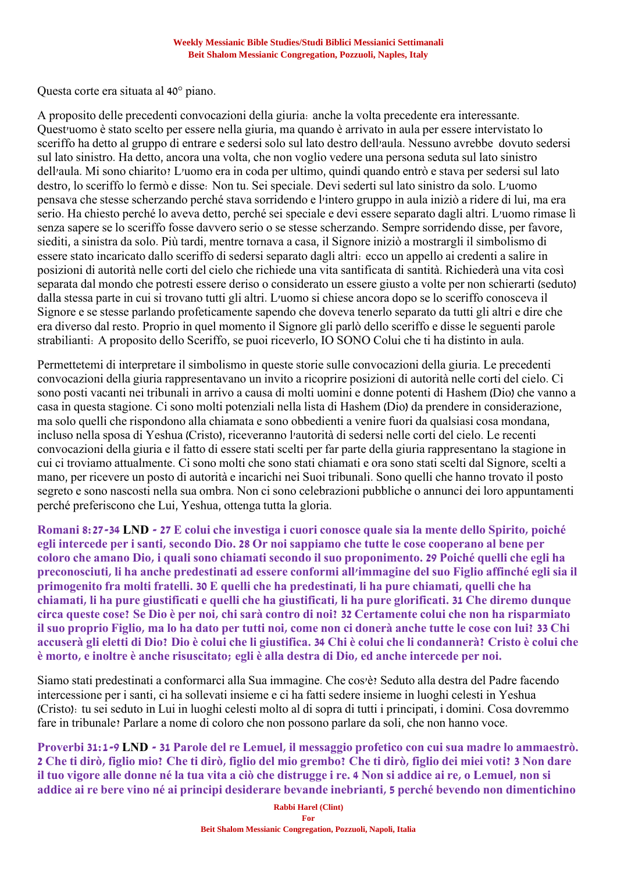Questa corte era situata al 40° piano.

A proposito delle precedenti convocazioni della giuria: anche la volta precedente era interessante. Quest'uomo è stato scelto per essere nella giuria, ma quando è arrivato in aula per essere intervistato lo sceriffo ha detto al gruppo di entrare e sedersi solo sul lato destro dell'aula. Nessuno avrebbe dovuto sedersi sul lato sinistro. Ha detto, ancora una volta, che non voglio vedere una persona seduta sul lato sinistro dell'aula. Mi sono chiarito? L'uomo era in coda per ultimo, quindi quando entrò e stava per sedersi sul lato destro, lo sceriffo lo fermò e disse: Non tu. Sei speciale. Devi sederti sul lato sinistro da solo. L'uomo pensava che stesse scherzando perché stava sorridendo e l'intero gruppo in aula iniziò a ridere di lui, ma era serio. Ha chiesto perché lo aveva detto, perché sei speciale e devi essere separato dagli altri. L'uomo rimase lì senza sapere se lo sceriffo fosse davvero serio o se stesse scherzando. Sempre sorridendo disse, per favore, siediti, a sinistra da solo. Più tardi, mentre tornava a casa, il Signore iniziò a mostrargli il simbolismo di essere stato incaricato dallo sceriffo di sedersi separato dagli altri: ecco un appello ai credenti a salire in posizioni di autorità nelle corti del cielo che richiede una vita santificata di santità. Richiederà una vita così separata dal mondo che potresti essere deriso o considerato un essere giusto a volte per non schierarti (seduto) dalla stessa parte in cui si trovano tutti gli altri. L'uomo si chiese ancora dopo se lo sceriffo conosceva il Signore e se stesse parlando profeticamente sapendo che doveva tenerlo separato da tutti gli altri e dire che era diverso dal resto. Proprio in quel momento il Signore gli parlò dello sceriffo e disse le seguenti parole strabilianti: A proposito dello Sceriffo, se puoi riceverlo, IO SONO Colui che ti ha distinto in aula.

Permettetemi di interpretare il simbolismo in queste storie sulle convocazioni della giuria. Le precedenti convocazioni della giuria rappresentavano un invito a ricoprire posizioni di autorità nelle corti del cielo. Ci sono posti vacanti nei tribunali in arrivo a causa di molti uomini e donne potenti di Hashem (Dio) che vanno a casa in questa stagione. Ci sono molti potenziali nella lista di Hashem (Dio) da prendere in considerazione, ma solo quelli che rispondono alla chiamata e sono obbedienti a venire fuori da qualsiasi cosa mondana, incluso nella sposa di Yeshua (Cristo), riceveranno l'autorità di sedersi nelle corti del cielo. Le recenti convocazioni della giuria e il fatto di essere stati scelti per far parte della giuria rappresentano la stagione in cui ci troviamo attualmente. Ci sono molti che sono stati chiamati e ora sono stati scelti dal Signore, scelti a mano, per ricevere un posto di autorità e incarichi nei Suoi tribunali. Sono quelli che hanno trovato il posto segreto e sono nascosti nella sua ombra. Non ci sono celebrazioni pubbliche o annunci dei loro appuntamenti perché preferiscono che Lui, Yeshua, ottenga tutta la gloria.

**Romani 8:27-34 LND - 27 E colui che investiga i cuori conosce quale sia la mente dello Spirito, poiché egli intercede per i santi, secondo Dio. 28 Or noi sappiamo che tutte le cose cooperano al bene per coloro che amano Dio, i quali sono chiamati secondo il suo proponimento. 29 Poiché quelli che egli ha preconosciuti, li ha anche predestinati ad essere conformi all'immagine del suo Figlio affinché egli sia il primogenito fra molti fratelli. 30 E quelli che ha predestinati, li ha pure chiamati, quelli che ha chiamati, li ha pure giustificati e quelli che ha giustificati, li ha pure glorificati. 31 Che diremo dunque circa queste cose? Se Dio è per noi, chi sarà contro di noi? 32 Certamente colui che non ha risparmiato il suo proprio Figlio, ma lo ha dato per tutti noi, come non ci donerà anche tutte le cose con lui? 33 Chi accuserà gli eletti di Dio? Dio è colui che li giustifica. 34 Chi è colui che li condannerà? Cristo è colui che è morto, e inoltre è anche risuscitato; egli è alla destra di Dio, ed anche intercede per noi.**

Siamo stati predestinati a conformarci alla Sua immagine. Che cos'è? Seduto alla destra del Padre facendo intercessione per i santi, ci ha sollevati insieme e ci ha fatti sedere insieme in luoghi celesti in Yeshua (Cristo): tu sei seduto in Lui in luoghi celesti molto al di sopra di tutti i principati, i domini. Cosa dovremmo fare in tribunale? Parlare a nome di coloro che non possono parlare da soli, che non hanno voce.

**Proverbi 31:1-9 LND - 31 Parole del re Lemuel, il messaggio profetico con cui sua madre lo ammaestrò. 2 Che ti dirò, figlio mio? Che ti dirò, figlio del mio grembo? Che ti dirò, figlio dei miei voti? 3 Non dare il tuo vigore alle donne né la tua vita a ciò che distrugge i re. 4 Non si addice ai re, o Lemuel, non si addice ai re bere vino né ai principi desiderare bevande inebrianti, 5 perché bevendo non dimentichino**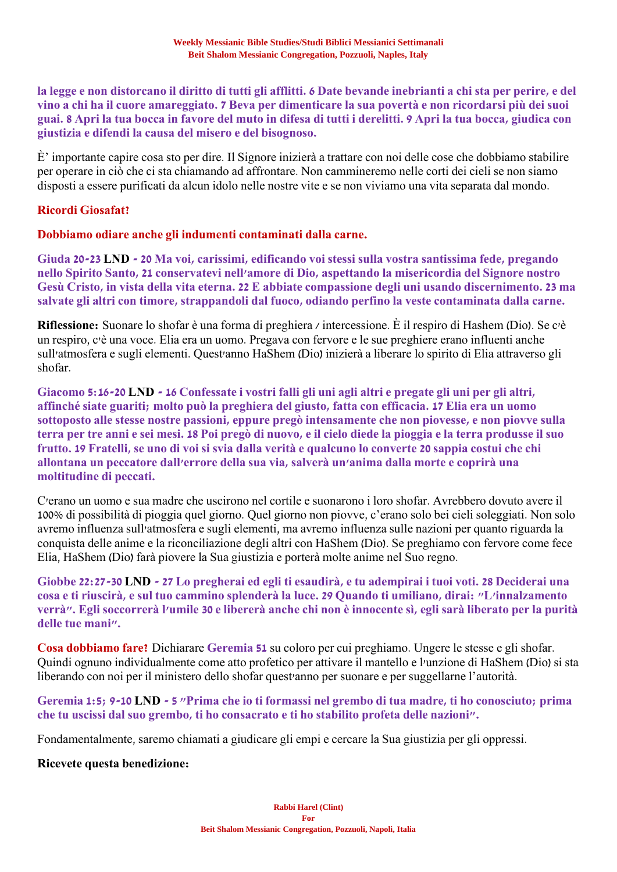**la legge e non distorcano il diritto di tutti gli afflitti. 6 Date bevande inebrianti a chi sta per perire, e del vino a chi ha il cuore amareggiato. 7 Beva per dimenticare la sua povertà e non ricordarsi più dei suoi guai. 8 Apri la tua bocca in favore del muto in difesa di tutti i derelitti. 9 Apri la tua bocca, giudica con giustizia e difendi la causa del misero e del bisognoso.**

È' importante capire cosa sto per dire. Il Signore inizierà a trattare con noi delle cose che dobbiamo stabilire per operare in ciò che ci sta chiamando ad affrontare. Non cammineremo nelle corti dei cieli se non siamo disposti a essere purificati da alcun idolo nelle nostre vite e se non viviamo una vita separata dal mondo.

## **Ricordi Giosafat?**

**Dobbiamo odiare anche gli indumenti contaminati dalla carne.**

**Giuda 20-23 LND - 20 Ma voi, carissimi, edificando voi stessi sulla vostra santissima fede, pregando nello Spirito Santo, 21 conservatevi nell'amore di Dio, aspettando la misericordia del Signore nostro Gesù Cristo, in vista della vita eterna. 22 E abbiate compassione degli uni usando discernimento. 23 ma salvate gli altri con timore, strappandoli dal fuoco, odiando perfino la veste contaminata dalla carne.**

**Riflessione:** Suonare lo shofar è una forma di preghiera / intercessione. È il respiro di Hashem (Dio). Se c'è un respiro, c'è una voce. Elia era un uomo. Pregava con fervore e le sue preghiere erano influenti anche sull'atmosfera e sugli elementi. Quest'anno HaShem (Dio) inizierà a liberare lo spirito di Elia attraverso gli shofar.

**Giacomo 5:16-20 LND - 16 Confessate i vostri falli gli uni agli altri e pregate gli uni per gli altri, affinché siate guariti; molto può la preghiera del giusto, fatta con efficacia. 17 Elia era un uomo sottoposto alle stesse nostre passioni, eppure pregò intensamente che non piovesse, e non piovve sulla terra per tre anni e sei mesi. 18 Poi pregò di nuovo, e il cielo diede la pioggia e la terra produsse il suo frutto. 19 Fratelli, se uno di voi si svia dalla verità e qualcuno lo converte 20 sappia costui che chi allontana un peccatore dall'errore della sua via, salverà un'anima dalla morte e coprirà una moltitudine di peccati.**

C'erano un uomo e sua madre che uscirono nel cortile e suonarono i loro shofar. Avrebbero dovuto avere il 100% di possibilità di pioggia quel giorno. Quel giorno non piovve, c'erano solo bei cieli soleggiati. Non solo avremo influenza sull'atmosfera e sugli elementi, ma avremo influenza sulle nazioni per quanto riguarda la conquista delle anime e la riconciliazione degli altri con HaShem (Dio). Se preghiamo con fervore come fece Elia, HaShem (Dio) farà piovere la Sua giustizia e porterà molte anime nel Suo regno.

**Giobbe 22:27-30 LND - 27 Lo pregherai ed egli ti esaudirà, e tu adempirai i tuoi voti. 28 Deciderai una cosa e ti riuscirà, e sul tuo cammino splenderà la luce. 29 Quando ti umiliano, dirai: "L'innalzamento verrà". Egli soccorrerà l'umile 30 e libererà anche chi non è innocente sì, egli sarà liberato per la purità delle tue mani".**

**Cosa dobbiamo fare?** Dichiarare **Geremia 51** su coloro per cui preghiamo. Ungere le stesse e gli shofar. Quindi ognuno individualmente come atto profetico per attivare il mantello e l'unzione di HaShem (Dio) si sta liberando con noi per il ministero dello shofar quest'anno per suonare e per suggellarne l'autorità.

**Geremia 1:5; 9-10 LND - 5 "Prima che io ti formassi nel grembo di tua madre, ti ho conosciuto; prima che tu uscissi dal suo grembo, ti ho consacrato e ti ho stabilito profeta delle nazioni".**

Fondamentalmente, saremo chiamati a giudicare gli empi e cercare la Sua giustizia per gli oppressi.

## **Ricevete questa benedizione:**